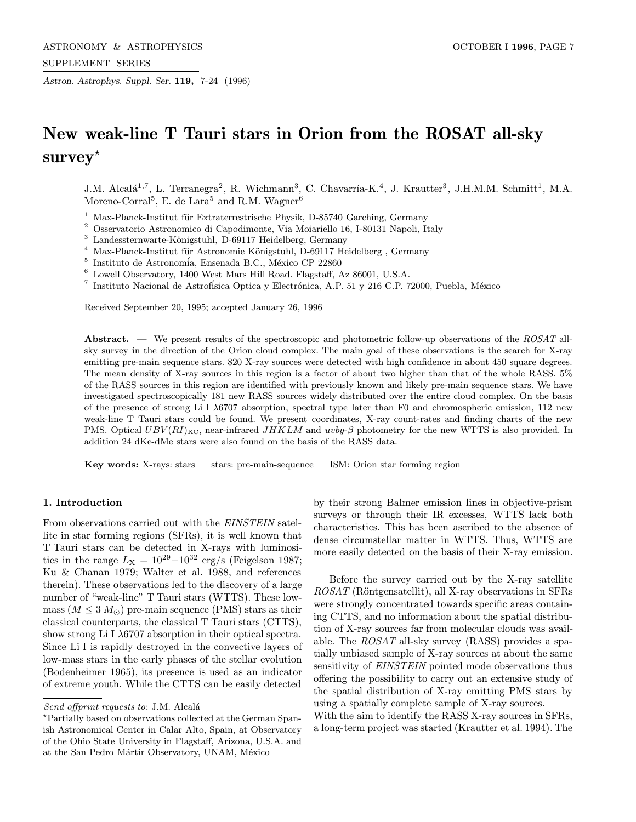Astron. Astrophys. Suppl. Ser. 119, 7-24 (1996)

# New weak-line T Tauri stars in Orion from the ROSAT all-sky  $\textbf{survey}^{\star}$

J.M. Alcalá<sup>1,7</sup>, L. Terranegra<sup>2</sup>, R. Wichmann<sup>3</sup>, C. Chavarría-K.<sup>4</sup>, J. Krautter<sup>3</sup>, J.H.M.M. Schmitt<sup>1</sup>, M.A. Moreno-Corral<sup>5</sup>, E. de Lara<sup>5</sup> and R.M. Wagner<sup>6</sup>

- $1$  Max-Planck-Institut für Extraterrestrische Physik, D-85740 Garching, Germany
- $^{\rm 2}$  Osservatorio Astronomico di Capodimonte, Via Moiariello 16, I-80131 Napoli, Italy
- $^3\,$  Landessternwarte-Königstuhl, D-69117 Heidelberg, Germany
- $^4\,$  Max-Planck-Institut für Astronomie Königstuhl, D-69117 Heidelberg , Germany
- $^5$  Instituto de Astronomía, Ensenada B.C., México CP 22860
- $^6$  Lowell Observatory, 1400 West Mars Hill Road. Flagstaff, Az 86001, U.S.A.
- <sup>7</sup> Instituto Nacional de Astrofísica Optica y Electrónica, A.P. 51 y 216 C.P. 72000, Puebla, México

Received September 20, 1995; accepted January 26, 1996

Abstract. — We present results of the spectroscopic and photometric follow-up observations of the  $ROSAT$  allsky survey in the direction of the Orion cloud complex. The main goal of these observations is the search for X-ray emitting pre-main sequence stars. 820 X-ray sources were detected with high confidence in about 450 square degrees. The mean density of X-ray sources in this region is a factor of about two higher than that of the whole RASS. 5% of the RASS sources in this region are identified with previously known and likely pre-main sequence stars. We have investigated spectroscopically 181 new RASS sources widely distributed over the entire cloud complex. On the basis of the presence of strong Li I λ6707 absorption, spectral type later than F0 and chromospheric emission, 112 new weak-line T Tauri stars could be found. We present coordinates, X-ray count-rates and finding charts of the new PMS. Optical  $UBV(RI)_{\text{KC}}$ , near-infrared  $JHKLM$  and  $uvby-\beta$  photometry for the new WTTS is also provided. In addition 24 dKe-dMe stars were also found on the basis of the RASS data.

Key words: X-rays: stars — stars: pre-main-sequence — ISM: Orion star forming region

# 1. Introduction

From observations carried out with the EINSTEIN satellite in star forming regions (SFRs), it is well known that T Tauri stars can be detected in X-rays with luminosities in the range  $L_X = 10^{29} - 10^{32}$  erg/s (Feigelson 1987; Ku & Chanan 1979; Walter et al. 1988, and references therein). These observations led to the discovery of a large number of "weak-line" T Tauri stars (WTTS). These lowmass  $(M \leq 3 M_{\odot})$  pre-main sequence (PMS) stars as their classical counterparts, the classical T Tauri stars (CTTS), show strong Li I  $\lambda$ 6707 absorption in their optical spectra. Since Li I is rapidly destroyed in the convective layers of low-mass stars in the early phases of the stellar evolution (Bodenheimer 1965), its presence is used as an indicator of extreme youth. While the CTTS can be easily detected by their strong Balmer emission lines in objective-prism surveys or through their IR excesses, WTTS lack both characteristics. This has been ascribed to the absence of dense circumstellar matter in WTTS. Thus, WTTS are more easily detected on the basis of their X-ray emission.

Before the survey carried out by the X-ray satellite  $ROSAT$  (Röntgensatellit), all X-ray observations in SFRs were strongly concentrated towards specific areas containing CTTS, and no information about the spatial distribution of X-ray sources far from molecular clouds was available. The ROSAT all-sky survey (RASS) provides a spatially unbiased sample of X-ray sources at about the same sensitivity of **EINSTEIN** pointed mode observations thus offering the possibility to carry out an extensive study of the spatial distribution of X-ray emitting PMS stars by using a spatially complete sample of X-ray sources.

With the aim to identify the RASS X-ray sources in SFRs, a long-term project was started (Krautter et al. 1994). The

Send offprint requests to: J.M. Alcalá

<sup>?</sup>Partially based on observations collected at the German Spanish Astronomical Center in Calar Alto, Spain, at Observatory of the Ohio State University in Flagstaff, Arizona, U.S.A. and at the San Pedro Mártir Observatory, UNAM, México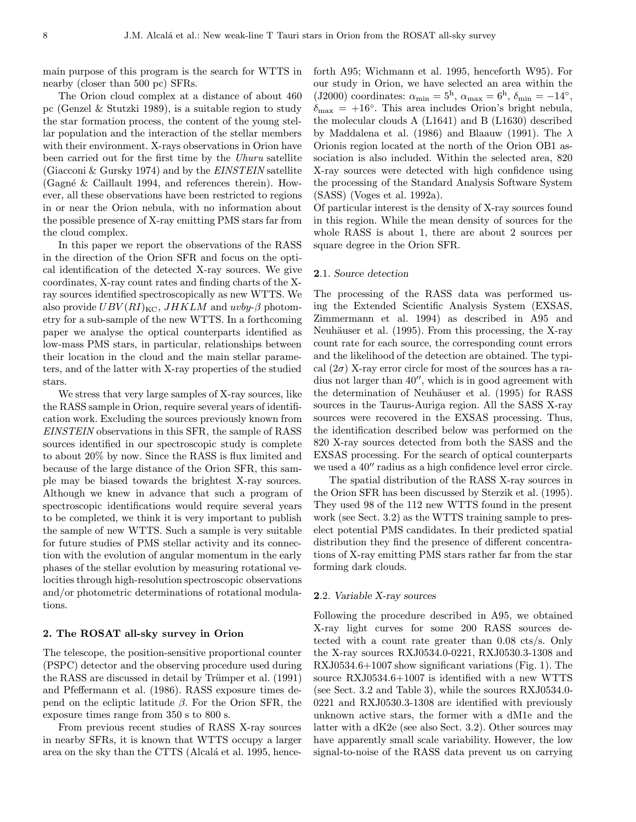main purpose of this program is the search for WTTS in nearby (closer than 500 pc) SFRs.

The Orion cloud complex at a distance of about 460 pc (Genzel & Stutzki 1989), is a suitable region to study the star formation process, the content of the young stellar population and the interaction of the stellar members with their environment. X-rays observations in Orion have been carried out for the first time by the Uhuru satellite (Giacconi & Gursky 1974) and by the EINSTEIN satellite (Gagné & Caillault 1994, and references therein). However, all these observations have been restricted to regions in or near the Orion nebula, with no information about the possible presence of X-ray emitting PMS stars far from the cloud complex.

In this paper we report the observations of the RASS in the direction of the Orion SFR and focus on the optical identification of the detected X-ray sources. We give coordinates, X-ray count rates and finding charts of the Xray sources identified spectroscopically as new WTTS. We also provide  $UBV(RI)_{\text{KC}}$ ,  $JHKLM$  and  $uvby-\beta$  photometry for a sub-sample of the new WTTS. In a forthcoming paper we analyse the optical counterparts identified as low-mass PMS stars, in particular, relationships between their location in the cloud and the main stellar parameters, and of the latter with X-ray properties of the studied stars.

We stress that very large samples of X-ray sources, like the RASS sample in Orion, require several years of identification work. Excluding the sources previously known from EINSTEIN observations in this SFR, the sample of RASS sources identified in our spectroscopic study is complete to about 20% by now. Since the RASS is flux limited and because of the large distance of the Orion SFR, this sample may be biased towards the brightest X-ray sources. Although we knew in advance that such a program of spectroscopic identifications would require several years to be completed, we think it is very important to publish the sample of new WTTS. Such a sample is very suitable for future studies of PMS stellar activity and its connection with the evolution of angular momentum in the early phases of the stellar evolution by measuring rotational velocities through high-resolution spectroscopic observations and/or photometric determinations of rotational modulations.

# 2. The ROSAT all-sky survey in Orion

The telescope, the position-sensitive proportional counter (PSPC) detector and the observing procedure used during the RASS are discussed in detail by Trümper et al. (1991) and Pfeffermann et al. (1986). RASS exposure times depend on the ecliptic latitude β. For the Orion SFR, the exposure times range from 350 s to 800 s.

From previous recent studies of RASS X-ray sources in nearby SFRs, it is known that WTTS occupy a larger area on the sky than the CTTS (Alcalá et al. 1995, henceforth A95; Wichmann et al. 1995, henceforth W95). For our study in Orion, we have selected an area within the (J2000) coordinates:  $\alpha_{\min} = 5^{\text{h}}$ ,  $\alpha_{\max} = 6^{\text{h}}$ ,  $\delta_{\min} = -14^{\circ}$ ,  $\delta_{\text{max}} = +16^{\circ}$ . This area includes Orion's bright nebula, the molecular clouds A (L1641) and B (L1630) described by Maddalena et al. (1986) and Blaauw (1991). The  $\lambda$ Orionis region located at the north of the Orion OB1 association is also included. Within the selected area, 820 X-ray sources were detected with high confidence using the processing of the Standard Analysis Software System (SASS) (Voges et al. 1992a).

Of particular interest is the density of X-ray sources found in this region. While the mean density of sources for the whole RASS is about 1, there are about 2 sources per square degree in the Orion SFR.

## 2.1. Source detection

The processing of the RASS data was performed using the Extended Scientific Analysis System (EXSAS, Zimmermann et al. 1994) as described in A95 and Neuhäuser et al. (1995). From this processing, the X-ray count rate for each source, the corresponding count errors and the likelihood of the detection are obtained. The typical  $(2\sigma)$  X-ray error circle for most of the sources has a radius not larger than  $40^{\prime\prime}$ , which is in good agreement with the determination of Neuhäuser et al. (1995) for RASS sources in the Taurus-Auriga region. All the SASS X-ray sources were recovered in the EXSAS processing. Thus, the identification described below was performed on the 820 X-ray sources detected from both the SASS and the EXSAS processing. For the search of optical counterparts we used a  $40^{\prime\prime}$  radius as a high confidence level error circle.

The spatial distribution of the RASS X-ray sources in the Orion SFR has been discussed by Sterzik et al. (1995). They used 98 of the 112 new WTTS found in the present work (see Sect. 3.2) as the WTTS training sample to preselect potential PMS candidates. In their predicted spatial distribution they find the presence of different concentrations of X-ray emitting PMS stars rather far from the star forming dark clouds.

#### 2.2. Variable X-ray sources

Following the procedure described in A95, we obtained X-ray light curves for some 200 RASS sources detected with a count rate greater than 0.08 cts/s. Only the X-ray sources RXJ0534.0-0221, RXJ0530.3-1308 and RXJ0534.6+1007 show significant variations (Fig. 1). The source RXJ0534.6+1007 is identified with a new WTTS (see Sect. 3.2 and Table 3), while the sources RXJ0534.0- 0221 and RXJ0530.3-1308 are identified with previously unknown active stars, the former with a dM1e and the latter with a dK2e (see also Sect. 3.2). Other sources may have apparently small scale variability. However, the low signal-to-noise of the RASS data prevent us on carrying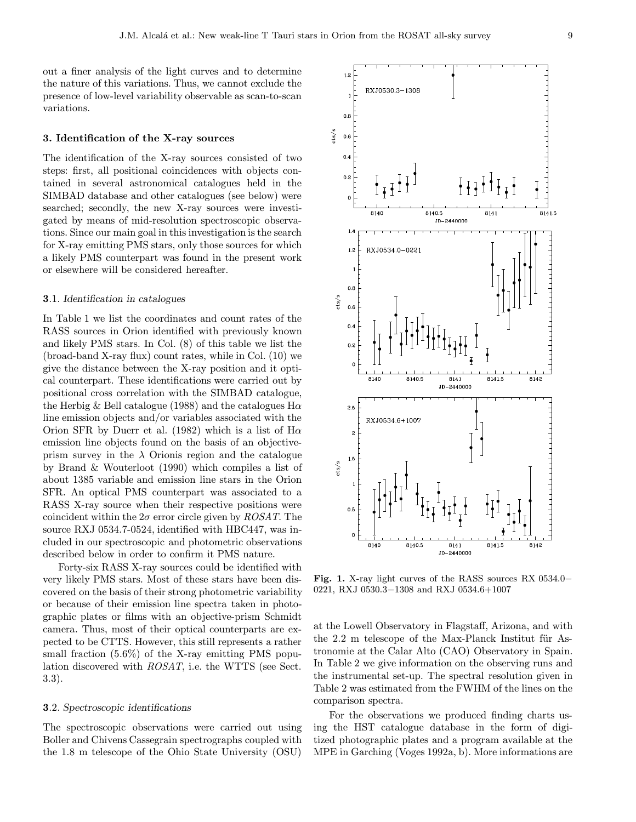out a finer analysis of the light curves and to determine the nature of this variations. Thus, we cannot exclude the presence of low-level variability observable as scan-to-scan variations.

## 3. Identification of the X-ray sources

The identification of the X-ray sources consisted of two steps: first, all positional coincidences with objects contained in several astronomical catalogues held in the SIMBAD database and other catalogues (see below) were searched; secondly, the new X-ray sources were investigated by means of mid-resolution spectroscopic observations. Since our main goal in this investigation is the search for X-ray emitting PMS stars, only those sources for which a likely PMS counterpart was found in the present work or elsewhere will be considered hereafter.

# 3.1. Identification in catalogues

In Table 1 we list the coordinates and count rates of the RASS sources in Orion identified with previously known and likely PMS stars. In Col. (8) of this table we list the (broad-band X-ray flux) count rates, while in Col. (10) we give the distance between the X-ray position and it optical counterpart. These identifications were carried out by positional cross correlation with the SIMBAD catalogue, the Herbig & Bell catalogue (1988) and the catalogues  $H\alpha$ line emission objects and/or variables associated with the Orion SFR by Duerr et al. (1982) which is a list of  $H\alpha$ emission line objects found on the basis of an objectiveprism survey in the  $\lambda$  Orionis region and the catalogue by Brand & Wouterloot (1990) which compiles a list of about 1385 variable and emission line stars in the Orion SFR. An optical PMS counterpart was associated to a RASS X-ray source when their respective positions were coincident within the  $2\sigma$  error circle given by  $ROSAT$ . The source RXJ 0534.7-0524, identified with HBC447, was included in our spectroscopic and photometric observations described below in order to confirm it PMS nature.

Forty-six RASS X-ray sources could be identified with very likely PMS stars. Most of these stars have been discovered on the basis of their strong photometric variability or because of their emission line spectra taken in photographic plates or films with an objective-prism Schmidt camera. Thus, most of their optical counterparts are expected to be CTTS. However, this still represents a rather small fraction (5.6%) of the X-ray emitting PMS population discovered with ROSAT, i.e. the WTTS (see Sect. 3.3).

# 3.2. Spectroscopic identifications

The spectroscopic observations were carried out using Boller and Chivens Cassegrain spectrographs coupled with the 1.8 m telescope of the Ohio State University (OSU)



Fig. 1. X-ray light curves of the RASS sources RX 0534.0− 0221, RXJ 0530.3−1308 and RXJ 0534.6+1007

at the Lowell Observatory in Flagstaff, Arizona, and with the 2.2 m telescope of the Max-Planck Institut für Astronomie at the Calar Alto (CAO) Observatory in Spain. In Table 2 we give information on the observing runs and the instrumental set-up. The spectral resolution given in Table 2 was estimated from the FWHM of the lines on the comparison spectra.

For the observations we produced finding charts using the HST catalogue database in the form of digitized photographic plates and a program available at the MPE in Garching (Voges 1992a, b). More informations are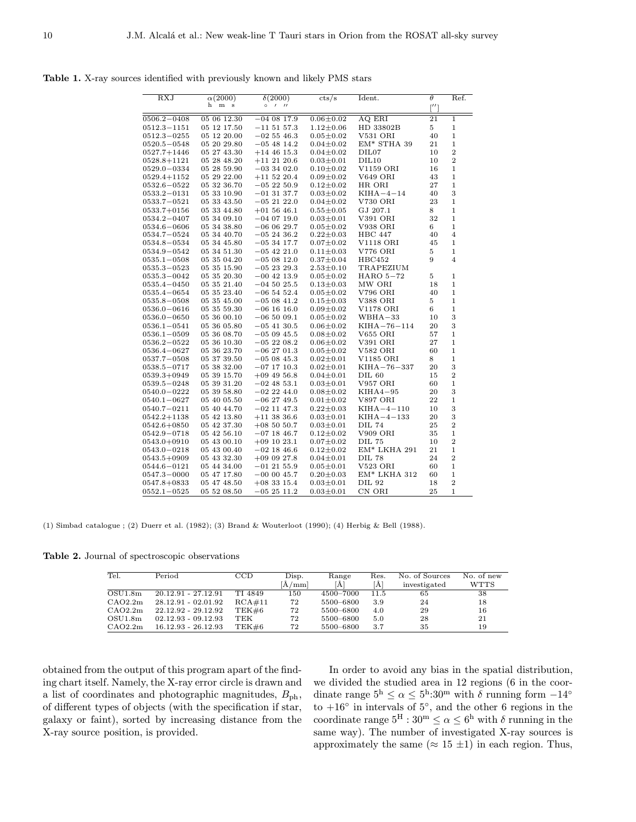Table 1. X-ray sources identified with previously known and likely PMS stars

| RXJ                     | $\alpha(2000)$             | $\delta(2000)$  | $\mathrm{cts}/\mathrm{s}$ | Ident.                                    | $\theta$     | Ref.                        |
|-------------------------|----------------------------|-----------------|---------------------------|-------------------------------------------|--------------|-----------------------------|
|                         | h<br>m s                   | 1/1<br>$\circ$  |                           |                                           | $\lceil$ ''] |                             |
| $0506.2 - 0408$         | 05 06 12.30                | $-040817.9$     | $0.06 \pm 0.02$           | AQ ERI                                    | 21           | 1                           |
| $0512.3 - 1151$         | 05 12 17.50                | $-11\ 51\ 57.3$ | $1.12 \pm 0.06$           | HD 33802B                                 | 5            | $\mathbf 1$                 |
| $0512.3 - 0255$         | 05 12 20.00                | $-02\,55\,46.3$ | $0.05 \pm 0.02$           | V531 ORI                                  | 40           | $\mathbf 1$                 |
| $0520.5 - 0548$         | 05 20 29.80                | $-05$ 48 14.2   | $0.04 \pm 0.02$           | EM* STHA 39                               | 21           | $\mathbf 1$                 |
| $0527.7 + 1446$         | 05 27 43.30                | $+14$ 46 15.3   | $0.04 \pm 0.02$           | DIL <sub>07</sub>                         | 10           | $\overline{2}$              |
| $0528.8 + 1121$         | 05 28 48.20                | $+11$ 21 20.6   | $0.03 \pm 0.01$           | DIL10                                     | 10           | $\overline{2}$              |
| $0529.0 - 0334$         | 05 28 59.90                | $-033402.0$     | $0.10 \pm 0.02$           | V1159 ORI                                 | 16           | $\mathbf{1}$                |
| $0529.4 + 1152$         | 05 29 22.00                | $+11\ 52\ 20.4$ | $0.09 \pm 0.02$           | <b>V649 ORI</b>                           | 43           | $\mathbf{1}$                |
| $0532.6 - 0522$         | 05 32 36.70                | $-052250.9$     | $0.12 \pm 0.02$           | HR ORI                                    | 27           | $\mathbf 1$                 |
| 0533.2—0131             | 05 33 10.90                | $-01$ 31 37.7   | $0.03 \pm 0.02$           | $KIHA-4-14$                               | 40           | 3                           |
| $0533.7 - 0521$         | 05 33 43.50                | $-052122.0$     | $0.04 \pm 0.02$           | V730 ORI                                  | 23           | $\mathbf 1$                 |
| 0533.7+0156             | 05 33 44.80                | $+01\,56\,46.1$ | $0.55 \pm 0.05$           | GJ 207.1                                  | 8            | $\mathbf 1$                 |
| 0534.2—0407             | 05 34 09.10                | $-040719.0$     | $0.03 \pm 0.01$           | V391 ORI                                  | 32           | $\mathbf 1$                 |
| $0534.6 - 0606$         | 05 34 38.80                | $-060629.7$     | $0.05 \pm 0.02$           | V938 ORI                                  | 6            | $\mathbf 1$                 |
| 0534.7—0524             | 05 34 40.70                | $-052436.2$     | $0.22 \pm 0.03$           | <b>HBC</b> 447                            | 40           | 4                           |
| 0534.8–0534             | 05 34 45.80                | $-053417.7$     | $0.07 \pm 0.02$           | V1118 ORI                                 | 45           | 1                           |
| 0534.9-0542             | 05 34 51.30                | $-05$ 42 21.0   | $0.11 \pm 0.03$           | V776 ORI                                  | 5            | 1                           |
| $0535.1\!-\!0508$       | 05 35 04.20                | $-050812.0$     | $0.37 \pm 0.04$           | HBC452                                    | 9            | 4                           |
| $0535.3 - 0523$         | 05 35 15.90                | $-052329.3$     | $2.53 \pm 0.10$           | TRAPEZIUM                                 |              |                             |
| 0535.3–0042             | 05 35 20.30                | $-00$ 42 13.9   | $0.05 \pm 0.02$           | HARO 5-72                                 | 5            | 1                           |
| 0535.4—0450             | 05 35 21.40                | $-04\ 50\ 25.5$ | $0.13 \pm 0.03$           | MW ORI                                    | 18           | 1                           |
| 0535.4–0654             | 05 35 23.40                | $-06\;54\;52.4$ | $0.05 \pm 0.02$           | V796 ORI                                  | 40           | $\mathbf 1$                 |
| $0535.8\!-\!0508$       | 05 35 45.00                | $-050841.2$     | $0.15 \pm 0.03$           | V388 ORI                                  | 5            | $\mathbf 1$                 |
| $0536.0 - 0616$         | 05 35 59.30                | $-06$ 16 16.0   | $0.09 \pm 0.02$           | V1178 ORI                                 | 6            | $\mathbf 1$                 |
| $0536.0 - 0650$         | 05 36 00.10                | $-06\ 50\ 09.1$ | $0.05 \pm 0.02$           | $WBHA-33$                                 | 10           | 3                           |
| $0536.1 - 0541$         | 05 36 05.80                | $-05$ 41 30.5   | $0.06 \pm 0.02$           | $KIHA - 76 - 114$                         | 20           | 3                           |
| $0536.1 - 0509$         | 05 36 08.70                | $-050945.5$     | $0.08 + 0.02$             | <b>V655 ORI</b>                           | 57           | $\mathbf 1$                 |
| $0536.2 - 0522$         | 05 36 10.30                | $-052208.2$     | $0.06 \pm 0.02$           | V391 ORI                                  | 27           | $\mathbf 1$                 |
| 0536.4–0627             | 05 36 23.70                | $-06\;27\;01.3$ | $0.05 \pm 0.02$           | V582 ORI                                  | 60           | $\mathbf 1$                 |
| $0537.7 - 0508$         | 05 37 39.50                | $-050845.3$     | $0.02 \pm 0.01$           | V1185 ORI                                 | 8            | $\mathbf 1$                 |
| $0538.5 - 0717$         | 05 38 32.00                | $-07$ 17 10.3   | $0.02 \pm 0.01$           | $KIHA - 76 - 337$                         | 20           | 3                           |
| $0539.3+0949$           | 05 39 15.70                | $+09$ 49 56.8   | $0.04 \pm 0.01$           | <b>DIL 60</b>                             | 15           | $\overline{2}$              |
| $\!\!0539.5\!\!-\!0248$ | 05 39 31.20                | $-02$ 48 53.1   | $0.03 \pm 0.01$           | V957 ORI                                  | 60           | $\mathbf 1$                 |
| $0540.0 - 0222$         | 05 39 58.80                | $-02$ 22 44.0   | $0.08 \pm 0.02$           | $KIHA4-95$                                | 20           | 3                           |
| $0540.1 - 0627$         | 05 40 05.50                | $-062749.5$     | $0.01 \pm 0.02$           | V897 ORI                                  | 22           | $\mathbf{1}$                |
| $0540.7 - 0211$         | 05 40 44.70                | $-02$ 11 47.3   | $0.22 \pm 0.03$           | $KHA-4-110$                               | 10           | 3                           |
| $0542.2 + 1138$         | 05 42 13.80                | $+11$ 38 36.6   | $0.03 \pm 0.01$           | $KHA-4-133$                               | 20           | 3                           |
| $0542.6 + 0850$         | 05 42 37.30                | $+085050.7$     | $0.03 \pm 0.01$           | <b>DIL 74</b>                             | 25           | $\overline{2}$              |
| 0542.9—0718             | 05 42 56.10                | $-07$ 18 46.7   | $0.12 \pm 0.02$           | V909 ORI                                  | 35           | $\,1\,$<br>$\overline{2}$   |
| 0543.0+0910             | 05 43 00.10                | $+09$ 10 23.1   | $0.07 \pm 0.02$           | <b>DIL 75</b><br>$\mathrm{EM}^*$ LKHA 291 | 10           |                             |
| 0543.0—0218             | 05 43 00.40                | $-02$ 18 46.6   | $0.12 \pm 0.02$           |                                           | 21           | $\mathbf{1}$                |
| 0543.5+0909             | 05 43 32.30                | $+090927.8$     | $0.04 \pm 0.01$           | <b>DIL 78</b>                             | 24           | $\overline{2}$              |
| 0544.6—0121             | 05 44 34.00<br>05 47 17.80 | $-01$ 21 55.9   | $0.05 \pm 0.01$           | V523 ORI<br>EM* LKHA 312                  | 60<br>60     | $\mathbf 1$<br>$\mathbf{1}$ |
| 0547.3—0000             |                            | $-00\;00\;45.7$ | $0.20 \pm 0.03$           | DIL 92                                    | 18           | $\overline{2}$              |
| 0547.8+0833             | 05 47 48.50                | $+08$ 33 15.4   | $0.03 \pm 0.01$           |                                           |              |                             |
| $0552.1 - 0525$         | 05 52 08.50                | $-052511.2$     | $0.03 \pm 0.01$           | CN ORI                                    | 25           | $\mathbf 1$                 |

(1) Simbad catalogue ; (2) Duerr et al. (1982); (3) Brand & Wouterloot (1990); (4) Herbig & Bell (1988).

Table 2. Journal of spectroscopic observations

| Tel.    | Period                | CCD     | Disp.       | Range     | Res. | No. of Sources | No. of new  |
|---------|-----------------------|---------|-------------|-----------|------|----------------|-------------|
|         |                       |         | $\rm A/mml$ | ٢Ă1       | ſÅ.  | investigated   | <b>WTTS</b> |
| OSU1.8m | $20.12.91 - 27.12.91$ | TI 4849 | 150         | 4500-7000 | 11.5 | 65             | 38          |
| CAO2.2m | $28.12.91 - 02.01.92$ | RCA#11  | 72          | 5500-6800 | 3.9  | 24             | 18          |
| CAO2.2m | $22.12.92 - 29.12.92$ | TEK#6   | 72          | 5500-6800 | 4.0  | 29             | 16          |
| OSU1.8m | $02.12.93 - 09.12.93$ | TEK     | 72          | 5500-6800 | 5.0  | 28             | 21          |
| CAO2.2m | $16.12.93 - 26.12.93$ | TEK#6   | 72          | 5500-6800 | 3.7  | 35             | 19          |

obtained from the output of this program apart of the finding chart itself. Namely, the X-ray error circle is drawn and a list of coordinates and photographic magnitudes,  $B_{\rm ph}$ , of different types of objects (with the specification if star, galaxy or faint), sorted by increasing distance from the X-ray source position, is provided.

In order to avoid any bias in the spatial distribution, we divided the studied area in 12 regions (6 in the coordinate range  $5^{\text{h}} \leq \alpha \leq 5^{\text{h}}:30^{\text{m}}$  with  $\delta$  running form  $-14^{\circ}$ to  $+16°$  in intervals of  $5°$ , and the other 6 regions in the coordinate range  $5^H : 30^m \le \alpha \le 6^h$  with  $\delta$  running in the same way). The number of investigated X-ray sources is approximately the same ( $\approx 15 \pm 1$ ) in each region. Thus,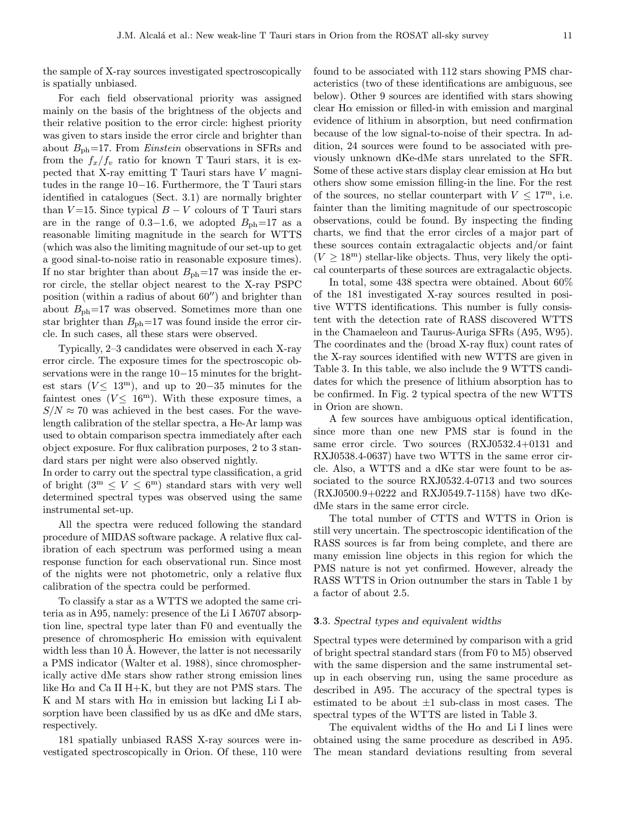the sample of X-ray sources investigated spectroscopically is spatially unbiased.

For each field observational priority was assigned mainly on the basis of the brightness of the objects and their relative position to the error circle: highest priority was given to stars inside the error circle and brighter than about  $B_{\rm ph}$ =17. From *Einstein* observations in SFRs and from the  $f_x/f_v$  ratio for known T Tauri stars, it is expected that X-ray emitting T Tauri stars have V magnitudes in the range 10−16. Furthermore, the T Tauri stars identified in catalogues (Sect. 3.1) are normally brighter than  $V = 15$ . Since typical  $B - V$  colours of T Tauri stars are in the range of 0.3−1.6, we adopted  $B_{\text{ph}}=17$  as a reasonable limiting magnitude in the search for WTTS (which was also the limiting magnitude of our set-up to get a good sinal-to-noise ratio in reasonable exposure times). If no star brighter than about  $B_{\rm ph}=17$  was inside the error circle, the stellar object nearest to the X-ray PSPC position (within a radius of about  $60$ <sup>"</sup>) and brighter than about  $B_{\rm ph}$ =17 was observed. Sometimes more than one star brighter than  $B_{\rm ph}$ =17 was found inside the error circle. In such cases, all these stars were observed.

Typically, 2–3 candidates were observed in each X-ray error circle. The exposure times for the spectroscopic observations were in the range 10−15 minutes for the brightest stars ( $V$  < 13<sup>m</sup>), and up to 20–35 minutes for the faintest ones  $(V \leq 16^{\text{m}})$ . With these exposure times, a  $S/N \approx 70$  was achieved in the best cases. For the wavelength calibration of the stellar spectra, a He-Ar lamp was used to obtain comparison spectra immediately after each object exposure. For flux calibration purposes, 2 to 3 standard stars per night were also observed nightly.

In order to carry out the spectral type classification, a grid of bright  $(3^m \leq V \leq 6^m)$  standard stars with very well determined spectral types was observed using the same instrumental set-up.

All the spectra were reduced following the standard procedure of MIDAS software package. A relative flux calibration of each spectrum was performed using a mean response function for each observational run. Since most of the nights were not photometric, only a relative flux calibration of the spectra could be performed.

To classify a star as a WTTS we adopted the same criteria as in A95, namely: presence of the Li I  $\lambda$ 6707 absorption line, spectral type later than F0 and eventually the presence of chromospheric  $H\alpha$  emission with equivalent width less than 10 Å. However, the latter is not necessarily a PMS indicator (Walter et al. 1988), since chromospherically active dMe stars show rather strong emission lines like  $H\alpha$  and Ca II H+K, but they are not PMS stars. The K and M stars with  $H\alpha$  in emission but lacking Li I absorption have been classified by us as dKe and dMe stars, respectively.

181 spatially unbiased RASS X-ray sources were investigated spectroscopically in Orion. Of these, 110 were found to be associated with 112 stars showing PMS characteristics (two of these identifications are ambiguous, see below). Other 9 sources are identified with stars showing clear  $H\alpha$  emission or filled-in with emission and marginal evidence of lithium in absorption, but need confirmation because of the low signal-to-noise of their spectra. In addition, 24 sources were found to be associated with previously unknown dKe-dMe stars unrelated to the SFR. Some of these active stars display clear emission at  $H\alpha$  but others show some emission filling-in the line. For the rest of the sources, no stellar counterpart with  $V \leq 17^{\rm m}$ , i.e. fainter than the limiting magnitude of our spectroscopic observations, could be found. By inspecting the finding charts, we find that the error circles of a major part of these sources contain extragalactic objects and/or faint  $(V \geq 18^{\rm m})$  stellar-like objects. Thus, very likely the optical counterparts of these sources are extragalactic objects.

In total, some 438 spectra were obtained. About 60% of the 181 investigated X-ray sources resulted in positive WTTS identifications. This number is fully consistent with the detection rate of RASS discovered WTTS in the Chamaeleon and Taurus-Auriga SFRs (A95, W95). The coordinates and the (broad X-ray flux) count rates of the X-ray sources identified with new WTTS are given in Table 3. In this table, we also include the 9 WTTS candidates for which the presence of lithium absorption has to be confirmed. In Fig. 2 typical spectra of the new WTTS in Orion are shown.

A few sources have ambiguous optical identification, since more than one new PMS star is found in the same error circle. Two sources (RXJ0532.4+0131 and RXJ0538.4-0637) have two WTTS in the same error circle. Also, a WTTS and a dKe star were fount to be associated to the source RXJ0532.4-0713 and two sources (RXJ0500.9+0222 and RXJ0549.7-1158) have two dKedMe stars in the same error circle.

The total number of CTTS and WTTS in Orion is still very uncertain. The spectroscopic identification of the RASS sources is far from being complete, and there are many emission line objects in this region for which the PMS nature is not yet confirmed. However, already the RASS WTTS in Orion outnumber the stars in Table 1 by a factor of about 2.5.

# 3.3. Spectral types and equivalent widths

Spectral types were determined by comparison with a grid of bright spectral standard stars (from F0 to M5) observed with the same dispersion and the same instrumental setup in each observing run, using the same procedure as described in A95. The accuracy of the spectral types is estimated to be about  $\pm 1$  sub-class in most cases. The spectral types of the WTTS are listed in Table 3.

The equivalent widths of the  $H\alpha$  and Li I lines were obtained using the same procedure as described in A95. The mean standard deviations resulting from several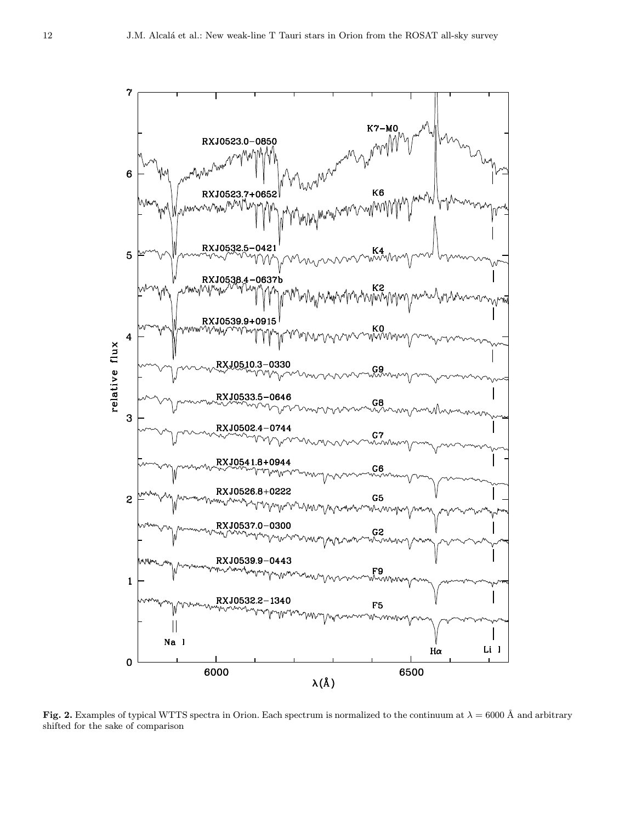

Fig. 2. Examples of typical WTTS spectra in Orion. Each spectrum is normalized to the continuum at  $\lambda = 6000 \text{ Å}$  and arbitrary shifted for the sake of comparison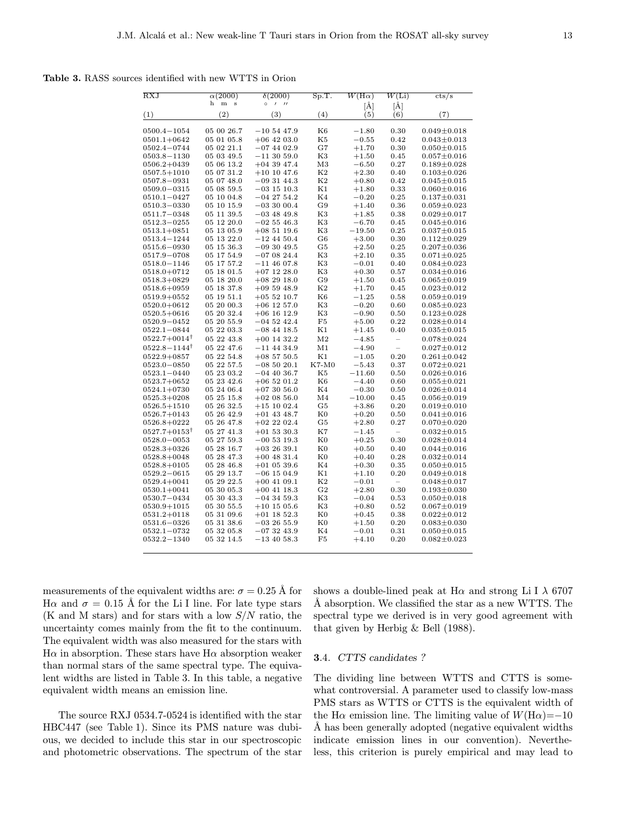Table 3. RASS sources identified with new WTTS in Orion

| $\overline{\text{RXJ}}$            | $\alpha(2000)$           | $\delta(2000)$                           | Sp.T.          | $W(\mathrm{H}\alpha)$  | W(L)                     | cts/s                                  |
|------------------------------------|--------------------------|------------------------------------------|----------------|------------------------|--------------------------|----------------------------------------|
|                                    | h<br>m<br>$\,$ s         | $\circ$<br>$\prime$<br>$^{\prime\prime}$ |                |                        |                          |                                        |
| (1)                                | (2)                      | (3)                                      | (4)            | [Å]<br>(5)             | [Å]<br>(6)               | (7)                                    |
|                                    |                          |                                          |                |                        |                          |                                        |
| $0500.4 - 1054$                    | 05 00 26.7               | $-105447.9$                              | K6             | $-1.80$                | 0.30                     | $0.049 + 0.018$                        |
| $0501.1 + 0642$                    | 05 01 05.8               | $+06$ 42 03.0                            | K5             | $-0.55$                | 0.42                     | $0.043 \pm 0.013$                      |
| $0502.4 - 0744$                    | 05 02 21.1               | $-074402.9$                              | G7             | $+1.70$                | 0.30                     | $0.050 \pm 0.015$                      |
| $0503.8 - 1130$                    | 05 03 49.5               | $-113059.0$                              | K3             | $+1.50$                | 0.45                     | $0.057 \pm 0.016$                      |
| $0506.2 + 0439$                    | 05 06 13.2               | $+04$ 39 47.4                            | M3             | $-6.50$                | 0.27                     | $0.189 \pm 0.028$                      |
| $0507.5 + 1010$                    | 05 07 31.2               | $+10$ 10 47.6                            | K <sub>2</sub> | $+2.30$                | 0.40                     | $0.103 \pm 0.026$                      |
| $0507.8 - 0931$                    | 05 07 48.0               | $-093144.3$                              | K <sub>2</sub> | $+0.80$                | 0.42                     | $0.045 \pm 0.015$                      |
| $0509.0 - 0315$                    | 05 08 59.5               | $-03$ 15 10.3                            | Κ1             | $+1.80$                | 0.33                     | $0.060 \pm 0.016$                      |
| $0510.1 - 0427$                    | 05 10 04.8               | $-04$ 27 54.2                            | K4             | $-0.20$                | 0.25                     | $0.137 \pm 0.031$                      |
| 0510.3-0330                        | 05 10 15.9               | $-033000.4$                              | G9             | $+1.40$                | 0.36                     | $0.059 \pm 0.023$                      |
| 0511.7-0348                        | 05 11 39.5               | $-03$ 48 49.8                            | K3             | $+1.85$                | 0.38                     | $0.029 \pm 0.017$                      |
| $0512.3 - 0255$                    | 05 12 20.0               | $-025546.3$                              | K3             | $-6.70$                | 0.45                     | $0.045 \pm 0.016$                      |
| $0513.1 + 0851$                    | 05 13 05.9               | $+085119.6$                              | K3             | $-19.50$               | 0.25                     | $0.037 \pm 0.015$                      |
| 0513.4–1244                        | 05 13 22.0               | $-12$ 44 50.4                            | G6             | $+3.00$                | 0.30                     | $0.112 \pm 0.029$                      |
| 0515.6-0930                        | 05 15 36.3               | $-093049.5$                              | G5             | $+2.50$                | 0.25                     | $0.207 \pm 0.036$                      |
| 0517.9-0708                        | 05 17 54.9               | $-070824.4$                              | K3             | $+2.10$                | 0.35                     | $0.071 \pm 0.025$                      |
| $0518.0 - 1146$                    | 05 17 57.2               | $-11$ 46 07.8                            | K3             | $-0.01$                | 0.40                     | $0.084 \pm 0.023$                      |
| $0518.0 + 0712$                    | 05 18 01.5               | $+07$ 12 28.0                            | K3             | $+0.30$                | 0.57                     | $0.034 \pm 0.016$                      |
| $0518.3 + 0829$                    | 05 18 20.0               | $+082918.0$                              | G9             | $+1.50$                | 0.45                     | $0.065 \pm 0.019$                      |
| $0518.6 + 0959$                    | 05 18 37.8               | $+095948.9$                              | K <sub>2</sub> | $+1.70$                | 0.45                     | $0.023 \pm 0.012$                      |
| $0519.9 + 0552$                    | 05 19 51.1               | $+055210.7$                              | K6             | $-1.25$                | 0.58                     | $0.059 \pm 0.019$                      |
| $0520.0 + 0612$                    | 05 20 00.3               | $+06$ 12 57.0                            | K3             | $-0.20$                | 0.60                     | $0.085 \pm 0.023$                      |
| $0520.5 + 0616$                    | 05 20 32.4               | $+06$ 16 12.9                            | K3             | $-0.90$                | 0.50                     | $0.123 \pm 0.028$                      |
| $0520.9 - 0452$                    | 05 20 55.9               | $-045242.4$                              | F5             | $+5.00$                | 0.22                     | $0.028 \pm 0.014$                      |
| $0522.1 - 0844$                    | 05 22 03.3               | $-08$ 44 18.5                            | K1             | $+1.45$                | 0.40                     | $0.035 \pm 0.015$                      |
| $0522.7+0014^{\dagger}$            | 05 22 43.8               | $+00$ 14 32.2                            | M <sub>2</sub> | $-4.85$                | $\overline{\phantom{0}}$ | $0.078 \pm 0.024$                      |
| $0522.8 - 1144^{\dagger}$          | 05 22 47.6               | $-11$ 44 34.9                            | M1             | $-4.90$                | $\overline{\phantom{0}}$ | $0.027 \pm 0.012$                      |
| $0522.9 + 0857$                    | 05 22 54.8               | $+08$ 57 50.5                            | K1             | $-1.05$                | 0.20                     | $0.261 \pm 0.042$                      |
| $0523.0 - 0850$                    | 05 22 57.5               | $-085020.1$                              | K7-M0          | $-5.43$                | 0.37                     | $0.072 \pm 0.021$                      |
| $0523.1 - 0440$                    | 05 23 03.2               | $-04$ 40 36.7                            | K5             | $-11.60$               | 0.50                     | $0.026 \pm 0.016$                      |
| $0523.7+0652$                      | 05 23 42.6               | $+06$ 52 01.2                            | K6             | $-4.40$                | 0.60                     | $0.055 \pm 0.021$                      |
| $0524.1+0730$                      | 05 24 06.4               | $+073056.0$                              | K4             | $-0.30$                | 0.50                     | $0.026 \pm 0.014$                      |
| $0525.3 + 0208$                    | 05 25 15.8               | $+020856.0$                              | M4             | $-10.00$               | 0.45                     | $0.056 \pm 0.019$                      |
| $0526.5 + 1510$                    | 05 26 32.5               | $+151002.4$                              | G5             | $+3.86$                | 0.20                     | $0.019 \pm 0.010$                      |
| $0526.7 + 0143$                    | 05 26 42.9               | $+01$ 43 48.7                            | $_{\rm K0}$    | $+0.20$                | 0.50                     | $0.041 \pm 0.016$                      |
| $0526.8 + 0222$                    | 05 26 47.8               | $+02$ 22 02.4                            | G5             | $+2.80$                | 0.27                     | $0.070 \pm 0.020$                      |
| $0527.7+0153^{\dagger}$            | 05 27 41.3               | $+01$ 53 30.3                            | K7             | $-1.45$                | $\overline{\phantom{0}}$ | $0.032 \pm 0.015$                      |
| $0528.0 - 0053$                    | 05 27 59.3               | $-00$ 53 19.3                            | $_{\rm K0}$    | $+0.25$                | 0.30                     | $0.028 \pm 0.014$                      |
| $0528.3 + 0326$                    | 05 28 16.7               | $+032639.1$                              | $_{\rm K0}$    | $+0.50$                | 0.40                     | $0.044 \pm 0.016$                      |
| $0528.8 + 0048$                    | 05 28 47.3               | $+00$ 48 31.4                            | $_{\rm K0}$    | $+0.40$                | 0.28                     | $0.032 \pm 0.014$                      |
| $0528.8 + 0105$                    | 05 28 46.8               | $+01$ 05 39.6                            | K4             | $+0.30$                | 0.35                     | $0.050 \pm 0.015$                      |
| $0529.2 - 0615$                    | 05 29 13.7               | $-06$ 15 04.9                            | Κ1             | $+1.10$                | 0.20                     | $0.049 \pm 0.018$                      |
| $0529.4 + 0041$                    | 05 29 22.5               | $+00$ 41 09.1                            | K2             | $-0.01$                | $\overline{\phantom{0}}$ | $0.048 + 0.017$                        |
| $0530.1 + 0041$                    | 05 30 05.3               | $+00$ 41 18.3                            | G <sub>2</sub> | $+2.80$                | 0.30                     | $0.193 \pm 0.030$                      |
| 0530.7—0434                        | 05 30 43.3               | $-04$ 34 59.3                            | K3             | $-0.04$                | 0.53                     | $0.050 \pm 0.018$                      |
| $0530.9 + 1015$                    | 05 30 55.5               | $+10$ 15 05.6                            | K3             | $+0.80$                | 0.52                     | $0.067 \pm 0.019$                      |
| $0531.2 + 0118$                    | 05 31 09.6               | $+01$ 18 52.3                            | K0             | $+0.45$                | 0.38                     | $0.022 \pm 0.012$                      |
| 0531.6-0326                        | 05 31 38.6               | $-032655.9$                              | K0             | $+1.50$                | 0.20                     | $0.083 \pm 0.030$                      |
| $0532.1 - 0732$<br>$0532.2 - 1340$ | 05 32 05.8<br>05 32 14.5 | $-073243.9$<br>$-13$ 40 58.3             | K4<br>F5       | $^{ -0.01}$<br>$+4.10$ | 0.31<br>0.20             | $0.050 \pm 0.015$<br>$0.082 \pm 0.023$ |
|                                    |                          |                                          |                |                        |                          |                                        |

measurements of the equivalent widths are:  $\sigma = 0.25$  Å for Hα and  $\sigma = 0.15$  Å for the Li I line. For late type stars (K and M stars) and for stars with a low  $S/N$  ratio, the uncertainty comes mainly from the fit to the continuum. The equivalent width was also measured for the stars with H $\alpha$  in absorption. These stars have H $\alpha$  absorption weaker than normal stars of the same spectral type. The equivalent widths are listed in Table 3. In this table, a negative equivalent width means an emission line.

The source RXJ 0534.7-0524 is identified with the star HBC447 (see Table 1). Since its PMS nature was dubious, we decided to include this star in our spectroscopic and photometric observations. The spectrum of the star shows a double-lined peak at  $H\alpha$  and strong Li I  $\lambda$  6707 A absorption. We classified the star as a new WTTS. The spectral type we derived is in very good agreement with that given by Herbig & Bell (1988).

#### 3.4. CTTS candidates ?

The dividing line between WTTS and CTTS is somewhat controversial. A parameter used to classify low-mass PMS stars as WTTS or CTTS is the equivalent width of the H $\alpha$  emission line. The limiting value of  $W(H\alpha) = -10$ A has been generally adopted (negative equivalent widths) indicate emission lines in our convention). Nevertheless, this criterion is purely empirical and may lead to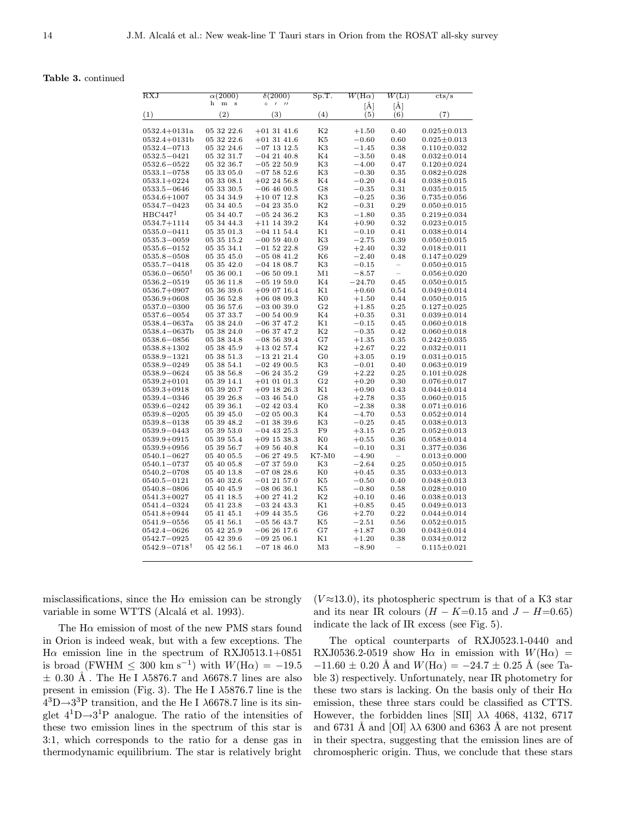#### Table 3. continued

| <b>RXJ</b>                          | $\alpha(2000)$            | $\delta(2000)$                     | Sp.T.          | $W(\mathrm{H}\alpha)$ | W(Li)                    | $\mathrm{cts/s}$                       |
|-------------------------------------|---------------------------|------------------------------------|----------------|-----------------------|--------------------------|----------------------------------------|
|                                     | h<br>${\bf m}$<br>$\bf s$ | $\prime$<br>$\circ$<br>$^{\prime}$ |                | [Å]                   | [Å]                      |                                        |
| (1)                                 | $^{\left( 2\right) }$     | (3)                                | (4)            | (5)                   | (6)                      | (7)                                    |
| $0532.4 + 0131a$                    | 05 32 22.6                | $+01$ 31 41.6                      | K <sub>2</sub> | $+1.50$               | 0.40                     | $0.025 \pm 0.013$                      |
| $0532.4 + 0131b$                    | 05 32 22.6                | $+01$ 31 41.6                      | K5             | $-0.60$               | 0.60                     | $0.025 \pm 0.013$                      |
| 0532.4–0713                         | 05 32 24.6                | $-07$ 13 12.5                      | K3             | $-1.45$               | 0.38                     | $0.110 \pm 0.032$                      |
| $0532.5 - 0421$                     | 05 32 31.7                | $-04$ 21 40.8                      | K4             | $-3.50$               | 0.48                     | $0.032 \pm 0.014$                      |
| $0532.6 - 0522$                     | 05 32 36.7                | $-052250.9$                        | K3             | $-4.00$               | 0.47                     | $0.120 \pm 0.024$                      |
| $0533.1 - 0758$                     | 05 33 05.0                | $-075852.6$                        | K3             | $-0.30$               | 0.35                     | $0.082 \pm 0.028$                      |
| $0533.1{+}0224$                     | 05 33 08.1                | $+02$ 24 56.8                      | K4             | $-0.20$               | 0.44                     | $0.038 \pm 0.015$                      |
| $0533.5 - 0646$                     | 05 33 30.5                | $-06$ 46 00.5                      | G8             | $-0.35$               | 0.31                     | $0.035 \pm 0.015$                      |
| $0534.6 + 1007$                     | 05 34 34.9                | $+100712.8$                        | K3             | $-0.25$               | 0.36                     | $0.735 \pm 0.056$                      |
| $0534.7 - 0423$                     | 05 34 40.5                | $-042335.0$                        | K <sub>2</sub> | $-0.31$               | 0.29                     | $0.050 \pm 0.015$                      |
| HBC447 <sup>‡</sup>                 | 05 34 40.7                | $-052436.2$                        | K3             | $-1.80$               | 0.35                     | $0.219 \pm 0.034$                      |
| $0534.7 + 1114$                     | 05 34 44.3                | $+11$ 14 39.2                      | K4             | $+0.90$               | 0.32                     | $0.023 \pm 0.015$                      |
| $0535.0 - 0411$                     | 05 35 01.3                | $-04$ 11 54.4                      | K1             | $-0.10$               | 0.41                     | $0.038 \pm 0.014$                      |
| $0535.3 - 0059$                     | 05 35 15.2                | $-005940.0$                        | K3             | $-2.75$               | 0.39                     | $0.050 \pm 0.015$                      |
| $0535.6 - 0152$                     | 05 35 34.1                | $-01$ 52 22.8                      | G9             | $+2.40$               | 0.32                     | $0.018 \pm 0.011$                      |
| $0535.8 - 0508$                     | 05 35 45.0                | $-050841.2$                        | K6             | $-2.40$               | 0.48                     | $0.147 \pm 0.029$                      |
| $0535.7 - 0418$                     | 05 35 42.0                | $-04$ 18 08.7                      | K3             | $^{ -0.15}$           | $\overline{\phantom{0}}$ | $0.050 \pm 0.015$                      |
| $0536.0{\mathrm -}0650^{\intercal}$ | 05 36 00.1                | $-065009.1$                        | M1             | $-8.57$               | $\overline{\phantom{0}}$ | $0.056 \pm 0.020$                      |
| $0536.2 - 0519$                     | 05 36 11.8                | $-05$ 19 59.0                      | K4             | $-24.70$              | 0.45                     | $0.050 \pm 0.015$                      |
| $0536.7 + 0907$                     | 05 36 39.6                | $+090716.4$                        | K1             | $+0.60$               | 0.54                     | $0.049 \pm 0.014$                      |
| $0536.9 + 0608$                     | 05 36 52.8                | $+06$ 08 09.3                      | $_{\rm K0}$    | $+1.50$               | 0.44                     | $0.050 \pm 0.015$                      |
| $0537.0{-}0300$                     | 05 36 57.6                | $-030039.0$                        | G <sub>2</sub> | $+1.85$               | 0.25                     | $0.127 \pm 0.025$                      |
| $0537.6 - 0054$                     | 05 37 33.7                | $-005400.9$                        | K4             | $+0.35$               | 0.31                     | $0.039 \pm 0.014$                      |
| $0538.4 - 0637a$                    | 05 38 24.0                | $-063747.2$                        | K1             | $-0.15$               | 0.45                     | $0.060 \pm 0.018$                      |
| 0538.4-0637b                        | 05 38 24.0                | $-06$ 37 47.2                      | K <sub>2</sub> | $-0.35$               | 0.42                     | $0.060 \pm 0.018$                      |
| $0538.6 - 0856$                     | 05 38 34.8                | $-085639.4$                        | G7             | $+1.35$               | 0.35                     | $0.242 \pm 0.035$                      |
| $0538.8 + 1302$                     | 05 38 45.9                | $+13$ 02 57.4                      | K <sub>2</sub> | $+2.67$               | 0.22                     | $0.032 \pm 0.011$                      |
| $0538.9 - 1321$                     | 05 38 51.3                | $-132121.4$                        | $_{\rm G0}$    | $+3.05$               | 0.19                     | $0.031 \pm 0.015$                      |
| 0538.9-0249                         | 05 38 54.1                | $-02$ 49 00.5                      | K3             | $-0.01$               | 0.40                     | $0.063 \pm 0.019$                      |
| 0538.9-0624                         | 05 38 56.8                | $-062435.2$                        | G9             | $+2.22$               | 0.25                     | $0.101 \pm 0.028$                      |
| $0539.2 + 0101$                     | 05 39 14.1                | $+01$ 01 01.3                      | G <sub>2</sub> | $+0.20$               | 0.30                     | $0.076 \pm 0.017$                      |
| $0539.3 + 0918$                     | 05 39 20.7                | $+09$ 18 26.3                      | Κ1             | $+0.90$               | 0.43                     | $0.044 \pm 0.014$                      |
| 0539.4-0346<br>$0539.6 - 0242$      | 05 39 26.8<br>05 39 36.1  | $-034654.0$<br>$-02$ 42 03.4       | G8<br>K0       | $+2.78$<br>$-2.38$    | 0.35<br>0.38             | $0.060 \pm 0.015$                      |
|                                     | 05 39 45.0                | $-020500.3$                        | K4             | $-4.70$               | 0.53                     | $0.071 \pm 0.016$<br>$0.052 \pm 0.014$ |
| $0539.8 - 0205$<br>0539.8-0138      | 05 39 48.2                | $-01$ 38 39.6                      | K3             | $-0.25$               | 0.45                     | $0.038 \pm 0.013$                      |
| $0539.9 - 0443$                     | 05 39 53.0                | $-04$ 43 25.3                      | F9             | $+3.15$               | 0.25                     | $0.052 \pm 0.013$                      |
| $0539.9 + 0915$                     | 05 39 55.4                | $+09$ 15 38.3                      | K <sub>0</sub> | $+0.55$               | 0.36                     | $0.058 \pm 0.014$                      |
| $0539.9+0956$                       | 05 39 56.7                | $+095640.8$                        | K4             | $-0.10$               | 0.31                     | $0.377 \pm 0.036$                      |
| $0540.1 - 0627$                     | 05 40 05.5                | $-06$ 27 49.5                      | $K7-M0$        | $-4.90$               | $\overline{\phantom{0}}$ | $0.013 \pm 0.000$                      |
| $0540.1 - 0737$                     | 05 40 05.8                | $-073759.0$                        | K3             | $-2.64$               | 0.25                     | $0.050 \pm 0.015$                      |
| $0540.2 - 0708$                     | 05 40 13.8                | $-070828.6$                        | $_{\rm K0}$    | $+0.45$               | 0.35                     | $0.033 \pm 0.013$                      |
| 0540.5—0121                         | 05 40 32.6                | $-01$ 21 57.0                      | K5             | $-0.50$               | 0.40                     | $0.048 \pm 0.013$                      |
| $0540.8 - 0806$                     | 05 40 45.9                | $-080636.1$                        | K5             | $-0.80$               | 0.58                     | $0.028 \pm 0.010$                      |
| $0541.3+0027$                       | 05 41 18.5                | $+002741.2$                        | K <sub>2</sub> | $+0.10$               | 0.46                     | $0.038 + 0.013$                        |
| $0541.4 - 0324$                     | 05 41 23.8                | $-03$ 24 43.3                      | Κ1             | $+0.85$               | 0.45                     | $0.049 \pm 0.013$                      |
| 0541.8+0944                         | 05 41 45.1                | $+09$ 44 35.5                      | G6             | $+2.70$               | 0.22                     | $0.044 \pm 0.014$                      |
| $0541.9 - 0556$                     | 05 41 56.1                | $-055643.7$                        | K5             | $-2.51$               | 0.56                     | $0.052 \pm 0.015$                      |
| $0542.4 - 0626$                     | 05 42 25.9                | $-062617.6$                        | G7             | $+1.87$               | 0.30                     | $0.043 \pm 0.014$                      |
| $0542.7 - 0925$                     | 05 42 39.6                | $-09\;25\;06.1$                    | Κ1             | $+1.20$               | 0.38                     | $0.034 \pm 0.012$                      |
| $0542.9-0718^\dagger$               | 05 42 56.1                | $-07$ 18 46.0                      | M <sub>3</sub> | $-8.90$               |                          | $0.115 \pm 0.021$                      |
|                                     |                           |                                    |                |                       |                          |                                        |

misclassifications, since the  $H\alpha$  emission can be strongly variable in some WTTS (Alcalá et al. 1993).

The  $H\alpha$  emission of most of the new PMS stars found in Orion is indeed weak, but with a few exceptions. The H $\alpha$  emission line in the spectrum of RXJ0513.1+0851 is broad (FWHM  $\leq 300 \text{ km s}^{-1}$ ) with  $W(\text{H}\alpha) = -19.5$  $\pm$  0.30 Å. The He I  $\lambda$ 5876.7 and  $\lambda$ 6678.7 lines are also present in emission (Fig. 3). The He I  $\lambda$ 5876.7 line is the  $4<sup>3</sup>D \rightarrow 3<sup>3</sup>P$  transition, and the He I  $\lambda$ 6678.7 line is its singlet  $4^{1}D\rightarrow 3^{1}P$  analogue. The ratio of the intensities of these two emission lines in the spectrum of this star is 3:1, which corresponds to the ratio for a dense gas in thermodynamic equilibrium. The star is relatively bright  $(V \approx 13.0)$ , its photospheric spectrum is that of a K3 star and its near IR colours  $(H - K=0.15$  and  $J - H=0.65)$ indicate the lack of IR excess (see Fig. 5).

The optical counterparts of RXJ0523.1-0440 and RXJ0536.2-0519 show H $\alpha$  in emission with  $W(\text{H}\alpha)$  =  $-11.60 \pm 0.20$  Å and  $W(\text{H}\alpha) = -24.7 \pm 0.25$  Å (see Table 3) respectively. Unfortunately, near IR photometry for these two stars is lacking. On the basis only of their  $H\alpha$ emission, these three stars could be classified as CTTS. However, the forbidden lines [SII]  $\lambda\lambda$  4068, 4132, 6717 and 6731 Å and [OI]  $\lambda\lambda$  6300 and 6363 Å are not present in their spectra, suggesting that the emission lines are of chromospheric origin. Thus, we conclude that these stars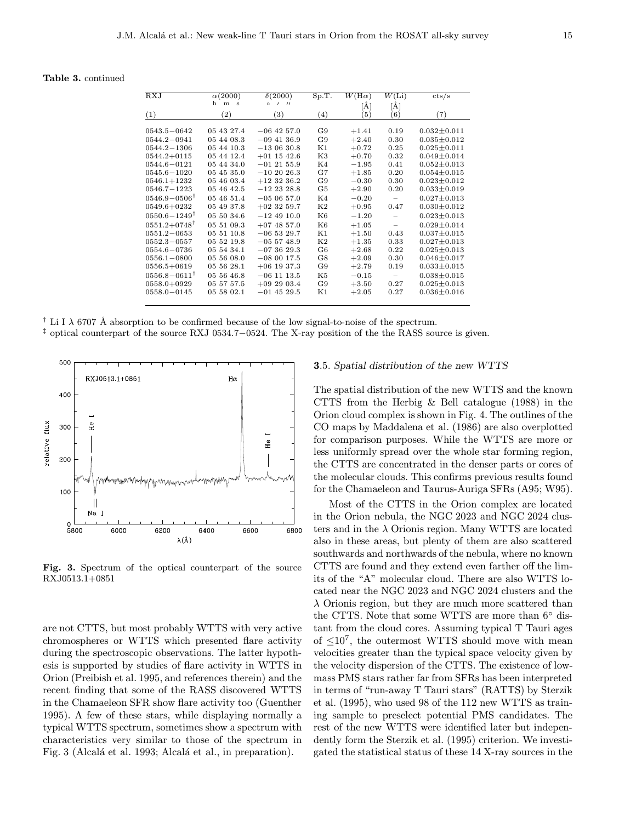| <b>RXJ</b>                | $\alpha(2000)$<br>h<br>m | $\delta(2000)$                                     | Sp.T.             | $W(\mathrm{H}\alpha)$    | $W(\rm Li)$              | cts/s             |
|---------------------------|--------------------------|----------------------------------------------------|-------------------|--------------------------|--------------------------|-------------------|
| (1)                       | <b>S</b><br>$^{\rm (2)}$ | $^{\prime}$<br>$\circ$<br>$\prime$<br>$^{\rm (3)}$ | $\left( 4\right)$ | [Å]<br>$\left( 5\right)$ | [Å]<br>(6)               | (7)               |
| $0543.5 - 0642$           | 05 43 27.4               | $-06$ 42 57.0                                      | G9                | $+1.41$                  | 0.19                     | $0.032 \pm 0.011$ |
| $0544.2 - 0941$           | 05 44 08.3               | $-09$ 41 36.9                                      | G9                | $+2.40$                  | 0.30                     | $0.035 \pm 0.012$ |
| $0544.2 - 1306$           | 05 44 10.3               | $-130630.8$                                        | K1                | $+0.72$                  | 0.25                     | $0.025 \pm 0.011$ |
| $0544.2 + 0115$           | 05 44 12.4               | $+01$ 15 42.6                                      | K3                | $+0.70$                  | 0.32                     | $0.049 \pm 0.014$ |
| $0544.6 - 0121$           | 05 44 34.0               | $-01$ 21 55.9                                      | K4                | $-1.95$                  | 0.41                     | $0.052 \pm 0.013$ |
| $0545.6 - 1020$           | 05 45 35.0               | $-102026.3$                                        | G7                | $+1.85$                  | 0.20                     | $0.054 \pm 0.015$ |
| $0546.1 + 1232$           | 05 46 03.4               | $+12$ 32 36.2                                      | G9                | $-0.30$                  | 0.30                     | $0.023 \pm 0.012$ |
| $0546.7 - 1223$           | 05 46 42.5               | $-12$ 23 28.8                                      | G5                | $+2.90$                  | 0.20                     | $0.033 \pm 0.019$ |
| $0546.9 - 0506^{\dagger}$ | 05 46 51.4               | $-050657.0$                                        | K4                | $-0.20$                  | $\overline{\phantom{m}}$ | $0.027 \pm 0.013$ |
| $0549.6 + 0232$           | 05 49 37.8               | $+02$ 32 59.7                                      | K2                | $+0.95$                  | 0.47                     | $0.030 \pm 0.012$ |
| $0550.6 - 1249^{\dagger}$ | 05 50 34.6               | $-124910.0$                                        | K6                | $-1.20$                  | $\overline{\phantom{m}}$ | $0.023 \pm 0.013$ |
| $0551.2+0748^{\dagger}$   | 05 51 09.3               | $+07$ 48 57.0                                      | K <sub>6</sub>    | $+1.05$                  | $\overline{\phantom{m}}$ | $0.029 + 0.014$   |
| $0551.2 - 0653$           | 05 51 10.8               | $-065329.7$                                        | K1                | $+1.50$                  | 0.43                     | $0.037 \pm 0.015$ |
| $0552.3 - 0557$           | 05 52 19.8               | $-055748.9$                                        | K2                | $+1.35$                  | 0.33                     | $0.027 \pm 0.013$ |
| $0554.6 - 0736$           | 05 54 34.1               | $-073629.3$                                        | G <sub>6</sub>    | $+2.68$                  | 0.22                     | $0.025 \pm 0.013$ |
| $0556.1 - 0800$           | 05 56 08.0               | $-080017.5$                                        | G8                | $+2.09$                  | 0.30                     | $0.046 \pm 0.017$ |
| $0556.5 + 0619$           | 05 56 28.1               | $+06$ 19 37.3                                      | G9                | $+2.79$                  | 0.19                     | $0.033 \pm 0.015$ |
| $0556.8 - 0611^{\dagger}$ | 05 56 46.8               | $-06$ 11 13.5                                      | K5                | $-0.15$                  | $\overline{\phantom{m}}$ | $0.038 + 0.015$   |
| $0558.0 + 0929$           | 05 57 57.5               | $+092903.4$                                        | G9                | $+3.50$                  | 0.27                     | $0.025 \pm 0.013$ |
| $0558.0 - 0145$           | 05 58 02.1               | $-01$ 45 29.5                                      | K1                | $+2.05$                  | 0.27                     | $0.036 \pm 0.016$ |

<sup>†</sup> Li I  $\lambda$  6707 Å absorption to be confirmed because of the low signal-to-noise of the spectrum.

‡ optical counterpart of the source RXJ 0534.7−0524. The X-ray position of the the RASS source is given.



Fig. 3. Spectrum of the optical counterpart of the source RXJ0513.1+0851

are not CTTS, but most probably WTTS with very active chromospheres or WTTS which presented flare activity during the spectroscopic observations. The latter hypothesis is supported by studies of flare activity in WTTS in Orion (Preibish et al. 1995, and references therein) and the recent finding that some of the RASS discovered WTTS in the Chamaeleon SFR show flare activity too (Guenther 1995). A few of these stars, while displaying normally a typical WTTS spectrum, sometimes show a spectrum with characteristics very similar to those of the spectrum in Fig. 3 (Alcalá et al. 1993; Alcalá et al., in preparation).

# 3.5. Spatial distribution of the new WTTS

The spatial distribution of the new WTTS and the known CTTS from the Herbig & Bell catalogue (1988) in the Orion cloud complex is shown in Fig. 4. The outlines of the CO maps by Maddalena et al. (1986) are also overplotted for comparison purposes. While the WTTS are more or less uniformly spread over the whole star forming region, the CTTS are concentrated in the denser parts or cores of the molecular clouds. This confirms previous results found for the Chamaeleon and Taurus-Auriga SFRs (A95; W95).

Most of the CTTS in the Orion complex are located in the Orion nebula, the NGC 2023 and NGC 2024 clusters and in the  $\lambda$  Orionis region. Many WTTS are located also in these areas, but plenty of them are also scattered southwards and northwards of the nebula, where no known CTTS are found and they extend even farther off the limits of the "A" molecular cloud. There are also WTTS located near the NGC 2023 and NGC 2024 clusters and the  $\lambda$  Orionis region, but they are much more scattered than the CTTS. Note that some WTTS are more than 6◦ distant from the cloud cores. Assuming typical T Tauri ages of  $\leq 10^7$ , the outermost WTTS should move with mean velocities greater than the typical space velocity given by the velocity dispersion of the CTTS. The existence of lowmass PMS stars rather far from SFRs has been interpreted in terms of "run-away T Tauri stars" (RATTS) by Sterzik et al. (1995), who used 98 of the 112 new WTTS as training sample to preselect potential PMS candidates. The rest of the new WTTS were identified later but independently form the Sterzik et al. (1995) criterion. We investigated the statistical status of these 14 X-ray sources in the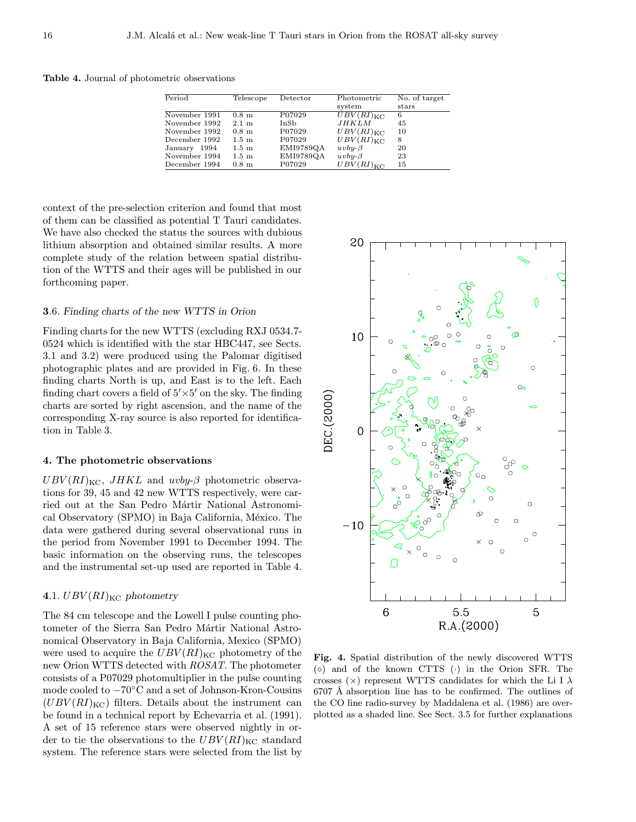Table 4. Journal of photometric observations

| Period        | Telescope        | Detector  | Photometric           | No. of target |
|---------------|------------------|-----------|-----------------------|---------------|
|               |                  |           | system                | stars         |
| November 1991 | $0.8~\mathrm{m}$ | P07029    | $UBV(RI)_{\text{KC}}$ | 6             |
| November 1992 | $2.1 \text{ m}$  | InSb      | JHKLM                 | 45            |
| November 1992 | $0.8~\mathrm{m}$ | P07029    | $UBV(RI)_{\text{KC}}$ | 10            |
| December 1992 | $1.5~\mathrm{m}$ | P07029    | $UBV(RI)_{\text{KC}}$ | 8             |
| January 1994  | $1.5~\mathrm{m}$ | EMI9789QA | $uv$ by- $\beta$      | 20            |
| November 1994 | $1.5~\mathrm{m}$ | EMI9789QA | $uv$ by- $\beta$      | 23            |
| December 1994 | $0.8~\mathrm{m}$ | P07029    | $UBV(RI)_{\text{KC}}$ | 15            |

context of the pre-selection criterion and found that most of them can be classified as potential T Tauri candidates. We have also checked the status the sources with dubious lithium absorption and obtained similar results. A more complete study of the relation between spatial distribution of the WTTS and their ages will be published in our forthcoming paper.

## 3.6. Finding charts of the new WTTS in Orion

Finding charts for the new WTTS (excluding RXJ 0534.7- 0524 which is identified with the star HBC447, see Sects. 3.1 and 3.2) were produced using the Palomar digitised photographic plates and are provided in Fig. 6. In these finding charts North is up, and East is to the left. Each finding chart covers a field of  $5' \times 5'$  on the sky. The finding charts are sorted by right ascension, and the name of the corresponding X-ray source is also reported for identification in Table 3.

## 4. The photometric observations

 $UBV(RI)_{\text{KC}}$ ,  $JHKL$  and  $uvby-\beta$  photometric observations for 39, 45 and 42 new WTTS respectively, were carried out at the San Pedro Mártir National Astronomical Observatory (SPMO) in Baja California, México. The data were gathered during several observational runs in the period from November 1991 to December 1994. The basic information on the observing runs, the telescopes and the instrumental set-up used are reported in Table 4.

# 4.1.  $UBV(RI)_{\text{KC}}$  photometry

The 84 cm telescope and the Lowell I pulse counting photometer of the Sierra San Pedro Mártir National Astronomical Observatory in Baja California, Mexico (SPMO) were used to acquire the  $UBV(RI)_{\text{KC}}$  photometry of the new Orion WTTS detected with ROSAT. The photometer consists of a P07029 photomultiplier in the pulse counting mode cooled to −70◦C and a set of Johnson-Kron-Cousins  $(UBV(RI)_{\text{KC}})$  filters. Details about the instrument can be found in a technical report by Echevarria et al. (1991). A set of 15 reference stars were observed nightly in order to tie the observations to the  $UBV(RI)_{\text{KC}}$  standard system. The reference stars were selected from the list by



Fig. 4. Spatial distribution of the newly discovered WTTS  $( \circ )$  and of the known CTTS  $( \cdot )$  in the Orion SFR. The crosses ( $\times$ ) represent WTTS candidates for which the Li I  $\lambda$  $6707$  Å absorption line has to be confirmed. The outlines of the CO line radio-survey by Maddalena et al. (1986) are overplotted as a shaded line. See Sect. 3.5 for further explanations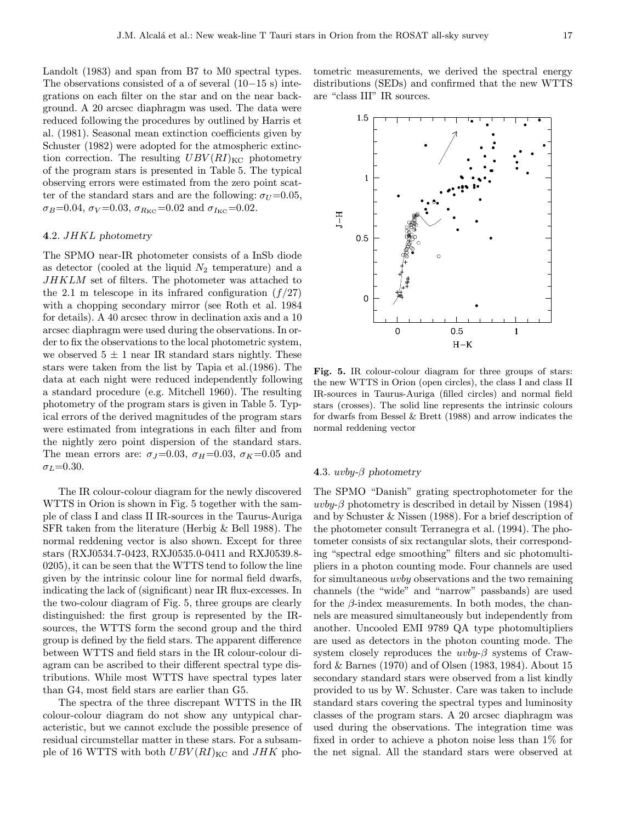Landolt (1983) and span from B7 to M0 spectral types. The observations consisted of a of several (10−15 s) integrations on each filter on the star and on the near background. A 20 arcsec diaphragm was used. The data were reduced following the procedures by outlined by Harris et al. (1981). Seasonal mean extinction coefficients given by Schuster (1982) were adopted for the atmospheric extinction correction. The resulting  $UBV(RI)_{\text{KC}}$  photometry of the program stars is presented in Table 5. The typical observing errors were estimated from the zero point scatter of the standard stars and are the following:  $\sigma_U = 0.05$ , σ<sub>B</sub>=0.04, σ<sub>V</sub>=0.03, σ<sub>R<sub>KC</sub>=0.02 and σ<sub>I<sub>KC</sub>=0.02.</sub></sub>

# 4.2. JHKL photometry

The SPMO near-IR photometer consists of a InSb diode as detector (cooled at the liquid  $N_2$  temperature) and a JHKLM set of filters. The photometer was attached to the 2.1 m telescope in its infrared configuration  $(f/27)$ with a chopping secondary mirror (see Roth et al. 1984 for details). A 40 arcsec throw in declination axis and a 10 arcsec diaphragm were used during the observations. In order to fix the observations to the local photometric system, we observed  $5 \pm 1$  near IR standard stars nightly. These stars were taken from the list by Tapia et al.(1986). The data at each night were reduced independently following a standard procedure (e.g. Mitchell 1960). The resulting photometry of the program stars is given in Table 5. Typical errors of the derived magnitudes of the program stars were estimated from integrations in each filter and from the nightly zero point dispersion of the standard stars. The mean errors are:  $\sigma_J=0.03$ ,  $\sigma_H=0.03$ ,  $\sigma_K=0.05$  and  $\sigma_L = 0.30$ .

The IR colour-colour diagram for the newly discovered WTTS in Orion is shown in Fig. 5 together with the sample of class I and class II IR-sources in the Taurus-Auriga SFR taken from the literature (Herbig & Bell 1988). The normal reddening vector is also shown. Except for three stars (RXJ0534.7-0423, RXJ0535.0-0411 and RXJ0539.8- 0205), it can be seen that the WTTS tend to follow the line given by the intrinsic colour line for normal field dwarfs, indicating the lack of (significant) near IR flux-excesses. In the two-colour diagram of Fig. 5, three groups are clearly distinguished: the first group is represented by the IRsources, the WTTS form the second group and the third group is defined by the field stars. The apparent difference between WTTS and field stars in the IR colour-colour diagram can be ascribed to their different spectral type distributions. While most WTTS have spectral types later than G4, most field stars are earlier than G5.

The spectra of the three discrepant WTTS in the IR colour-colour diagram do not show any untypical characteristic, but we cannot exclude the possible presence of residual circumstellar matter in these stars. For a subsample of 16 WTTS with both  $UBV(RI)_{\text{KC}}$  and  $JHK$  photometric measurements, we derived the spectral energy distributions (SEDs) and confirmed that the new WTTS are "class III" IR sources.



Fig. 5. IR colour-colour diagram for three groups of stars: the new WTTS in Orion (open circles), the class I and class II IR-sources in Taurus-Auriga (filled circles) and normal field stars (crosses). The solid line represents the intrinsic colours for dwarfs from Bessel & Brett (1988) and arrow indicates the normal reddening vector

## 4.3.  $uvby-\beta$  photometry

The SPMO "Danish" grating spectrophotometer for the uvby- $\beta$  photometry is described in detail by Nissen (1984) and by Schuster & Nissen (1988). For a brief description of the photometer consult Terranegra et al. (1994). The photometer consists of six rectangular slots, their corresponding "spectral edge smoothing" filters and sic photomultipliers in a photon counting mode. Four channels are used for simultaneous uvby observations and the two remaining channels (the "wide" and "narrow" passbands) are used for the  $\beta$ -index measurements. In both modes, the channels are measured simultaneously but independently from another. Uncooled EMI 9789 QA type photomultipliers are used as detectors in the photon counting mode. The system closely reproduces the  $uvby-\beta$  systems of Crawford & Barnes (1970) and of Olsen (1983, 1984). About 15 secondary standard stars were observed from a list kindly provided to us by W. Schuster. Care was taken to include standard stars covering the spectral types and luminosity classes of the program stars. A 20 arcsec diaphragm was used during the observations. The integration time was fixed in order to achieve a photon noise less than 1% for the net signal. All the standard stars were observed at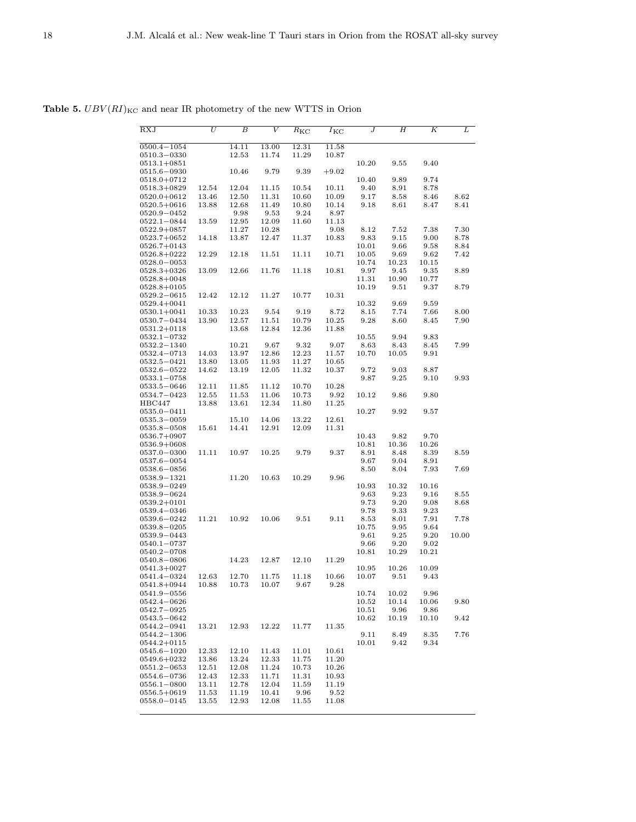Table 5.  $UBV(RI)_{\rm KC}$  and near IR photometry of the new WTTS in Orion

| RXJ                              | $\overline{U}$ | $\overline{B}$ | V     | $\overline{R}_{\rm KC}$ | $\overline{I}_{\text{KC}}$ | J             | $_{H}$              | Κ            | L     |
|----------------------------------|----------------|----------------|-------|-------------------------|----------------------------|---------------|---------------------|--------------|-------|
| $0500.4 - 1054$                  |                | 14.11          | 13.00 | 12.31                   | 11.58                      |               |                     |              |       |
| 0510.3-0330                      |                | 12.53          | 11.74 | 11.29                   | 10.87                      |               |                     |              |       |
| $0513.1 + 0851$                  |                |                |       |                         |                            | 10.20         | 9.55                | 9.40         |       |
| 0515.6–0930                      |                | 10.46          | 9.79  | 9.39                    | $+9.02$                    |               |                     |              |       |
| $0518.0 + 0712$<br>$0518.3+0829$ | 12.54          | 12.04          | 11.15 | 10.54                   | 10.11                      | 10.40<br>9.40 | 9.89<br>8.91        | 9.74<br>8.78 |       |
| $0520.0 + 0612$                  | 13.46          | 12.50          | 11.31 | 10.60                   | 10.09                      | 9.17          | 8.58                | 8.46         | 8.62  |
| $0520.5 + 0616$                  | 13.88          | 12.68          | 11.49 | 10.80                   | 10.14                      | 9.18          | 8.61                | 8.47         | 8.41  |
| $0520.9 - 0452$                  |                | 9.98           | 9.53  | 9.24                    | 8.97                       |               |                     |              |       |
| 0522.1–0844                      | 13.59          | 12.95          | 12.09 | 11.60                   | 11.13                      |               |                     |              |       |
| $0522.9 + 0857$                  |                | 11.27          | 10.28 |                         | 9.08                       | 8.12          | 7.52                | 7.38         | 7.30  |
| 0523.7+0652                      | 14.18          | 13.87          | 12.47 | 11.37                   | 10.83                      | 9.83          | 9.15                | 9.00         | 8.78  |
| 0526.7+0143                      |                |                |       |                         |                            | 10.01         | 9.66                | 9.58         | 8.84  |
| $0526.8 + 0222$                  | 12.29          | 12.18          | 11.51 | 11.11                   | 10.71                      | 10.05         | 9.69                | 9.62         | 7.42  |
| $0528.0 - 0053$                  |                |                |       |                         |                            | 10.74         | 10.23               | 10.15        |       |
| 0528.3+0326                      | 13.09          | 12.66          | 11.76 | 11.18                   | 10.81                      | 9.97          | 9.45                | 9.35         | 8.89  |
| $0528.8 + 0048$                  |                |                |       |                         |                            | 11.31         | 10.90               | 10.77        |       |
| $0528.8 + 0105$                  |                |                |       |                         |                            | 10.19         | 9.51                | 9.37         | 8.79  |
| 0529.2-0615<br>0529.4+0041       | 12.42          | 12.12          | 11.27 | 10.77                   | 10.31                      | 10.32         | 9.69                | 9.59         |       |
| $0530.1 + 0041$                  | 10.33          | 10.23          | 9.54  | 9.19                    | 8.72                       | 8.15          | 7.74                | 7.66         | 8.00  |
| $0530.7 - 0434$                  | 13.90          | 12.57          | 11.51 | 10.79                   | 10.25                      | 9.28          | 8.60                | 8.45         | 7.90  |
| 0531.2+0118                      |                | 13.68          | 12.84 | 12.36                   | 11.88                      |               |                     |              |       |
| 0532.1–0732                      |                |                |       |                         |                            | 10.55         | 9.94                | 9.83         |       |
| $0532.2 - 1340$                  |                | 10.21          | 9.67  | 9.32                    | 9.07                       | 8.63          | 8.43                | 8.45         | 7.99  |
| 0532.4-0713                      | 14.03          | 13.97          | 12.86 | 12.23                   | 11.57                      | 10.70         | 10.05               | 9.91         |       |
| $0532.5 - 0421$                  | 13.80          | 13.05          | 11.93 | 11.27                   | 10.65                      |               |                     |              |       |
| $0532.6 - 0522$                  | 14.62          | 13.19          | 12.05 | 11.32                   | 10.37                      | 9.72          | 9.03                | 8.87         |       |
| $0533.1 - 0758$                  |                |                |       |                         |                            | 9.87          | 9.25                | 9.10         | 9.93  |
| 0533.5-0646                      | 12.11          | 11.85          | 11.12 | 10.70                   | 10.28                      |               |                     |              |       |
| 0534.7-0423                      | 12.55          | 11.53          | 11.06 | 10.73                   | 9.92                       | 10.12         | 9.86                | 9.80         |       |
| HBC447<br>0535.0-0411            | 13.88          | 13.61          | 12.34 | 11.80                   | 11.25                      | 10.27         | 9.92                | 9.57         |       |
| 0535.3–0059                      |                | 15.10          | 14.06 | 13.22                   | 12.61                      |               |                     |              |       |
| 0535.8-0508                      | 15.61          | 14.41          | 12.91 | 12.09                   | 11.31                      |               |                     |              |       |
| 0536.7+0907                      |                |                |       |                         |                            | 10.43         | 9.82                | 9.70         |       |
| $0536.9+0608$                    |                |                |       |                         |                            | 10.81         | 10.36               | 10.26        |       |
| 0537.0-0300                      | 11.11          | 10.97          | 10.25 | 9.79                    | 9.37                       | 8.91          | 8.48                | 8.39         | 8.59  |
| 0537.6–0054                      |                |                |       |                         |                            | 9.67          | 9.04                | 8.91         |       |
| $0538.6 - 0856$                  |                |                |       |                         |                            | 8.50          | 8.04                | 7.93         | 7.69  |
| 0538.9-1321                      |                | 11.20          | 10.63 | 10.29                   | 9.96                       |               |                     |              |       |
| 0538.9–0249                      |                |                |       |                         |                            | 10.93         | 10.32               | 10.16        |       |
| 0538.9-0624                      |                |                |       |                         |                            | 9.63          | 9.23                | 9.16         | 8.55  |
| $0539.2 + 0101$                  |                |                |       |                         |                            | 9.73          | 9.20                | 9.08         | 8.68  |
| 0539.4–0346                      |                |                |       |                         |                            | 9.78          | 9.33                | 9.23         |       |
| 0539.6-0242<br>0539.8-0205       | 11.21          | 10.92          | 10.06 | 9.51                    | 9.11                       | 8.53<br>10.75 | 8.01<br>9.95        | 7.91<br>9.64 | 7.78  |
| 0539.9-0443                      |                |                |       |                         |                            | 9.61          | 9.25                | 9.20         | 10.00 |
| $0540.1 - 0737$                  |                |                |       |                         |                            | 9.66          | 9.20                | 9.02         |       |
| $0540.2 - 0708$                  |                |                |       |                         |                            | 10.81         | 10.29               | 10.21        |       |
| 0540.8–0806                      |                | 14.23          | 12.87 | 12.10                   | 11.29                      |               |                     |              |       |
| 0541.3+0027                      |                |                |       |                         |                            | 10.95         | 10.26               | 10.09        |       |
| 0541.4-0324                      | 12.63          | 12.70          | 11.75 | 11.18                   | 10.66                      | 10.07         | 9.51                | 9.43         |       |
| $0541.8 + 0944$                  | 10.88          | 10.73          | 10.07 | 9.67                    | 9.28                       |               |                     |              |       |
| 0541.9-0556                      |                |                |       |                         |                            | 10.74         | 10.02               | 9.96         |       |
| $0542.4 - 0626$                  |                |                |       |                         |                            | 10.52         | 10.14               | 10.06        | 9.80  |
| 0542.7-0925                      |                |                |       |                         |                            | 10.51         | 9.96                | 9.86         |       |
| 0543.5-0642                      |                |                |       |                         |                            | 10.62         | 10.19               | 10.10        | 9.42  |
| 0544.2-0941<br>$0544.2 - 1306$   | 13.21          | 12.93          | 12.22 | 11.77                   | 11.35                      |               | 8.49                |              |       |
| $0544.2 + 0115$                  |                |                |       |                         |                            | 9.11<br>10.01 | $\boldsymbol{9.42}$ | 8.35<br>9.34 | 7.76  |
| $0545.6 - 1020$                  | 12.33          | 12.10          | 11.43 | 11.01                   | 10.61                      |               |                     |              |       |
| 0549.6+0232                      | 13.86          | 13.24          | 12.33 | 11.75                   | 11.20                      |               |                     |              |       |
| $0551.2 - 0653$                  | 12.51          | 12.08          | 11.24 | 10.73                   | 10.26                      |               |                     |              |       |
| 0554.6-0736                      | 12.43          | 12.33          | 11.71 | 11.31                   | 10.93                      |               |                     |              |       |
| $0556.1 - 0800$                  | 13.11          | 12.78          | 12.04 | 11.59                   | 11.19                      |               |                     |              |       |
| $0556.5 + 0619$                  | 11.53          | 11.19          | 10.41 | 9.96                    | 9.52                       |               |                     |              |       |
| 0558.0-0145                      | 13.55          | 12.93          | 12.08 | 11.55                   | 11.08                      |               |                     |              |       |
|                                  |                |                |       |                         |                            |               |                     |              |       |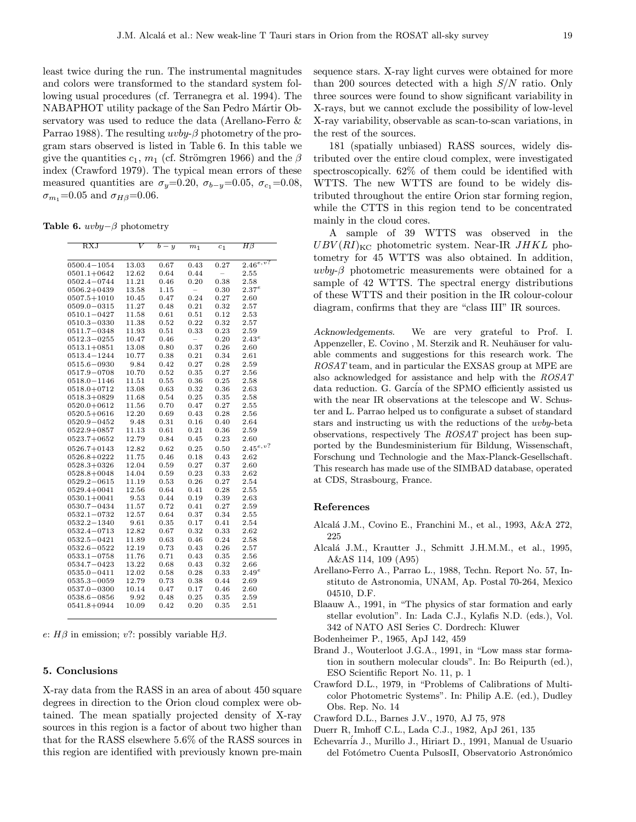least twice during the run. The instrumental magnitudes and colors were transformed to the standard system following usual procedures (cf. Terranegra et al. 1994). The NABAPHOT utility package of the San Pedro Mártir Observatory was used to reduce the data (Arellano-Ferro & Parrao 1988). The resulting  $uvby-\beta$  photometry of the program stars observed is listed in Table 6. In this table we give the quantities  $c_1$ ,  $m_1$  (cf. Strömgren 1966) and the  $\beta$ index (Crawford 1979). The typical mean errors of these measured quantities are  $\sigma_y=0.20$ ,  $\sigma_{b-y}=0.05$ ,  $\sigma_{c_1}=0.08$ ,  $\sigma_{m_1}$ =0.05 and  $\sigma_{H\beta}$ =0.06.

Table 6.  $uvby-β$  photometry

| $_{\rm RXJ}$    |       | $b-y$ | m <sub>1</sub>           |                          | $H\beta$      |
|-----------------|-------|-------|--------------------------|--------------------------|---------------|
|                 |       |       |                          | $c_1$                    |               |
| $0500.4 - 1054$ | 13.03 | 0.67  | 0.43                     | 0.27                     | $2.46^{e,v?}$ |
| $0501.1 + 0642$ | 12.62 | 0.64  | 0.44                     | $\overline{\phantom{0}}$ | 2.55          |
|                 |       |       | 0.20                     |                          |               |
| $0502.4 - 0744$ | 11.21 | 0.46  |                          | 0.38                     | 2.58          |
| $0506.2 + 0439$ | 13.58 | 1.15  | $\overline{\phantom{0}}$ | 0.30                     | $2.37^e$      |
| $0507.5 + 1010$ | 10.45 | 0.47  | 0.24                     | 0.27                     | 2.60          |
| $0509.0 - 0315$ | 11.27 | 0.48  | 0.21                     | 0.32                     | 2.57          |
| $0510.1 - 0427$ | 11.58 | 0.61  | 0.51                     | 0.12                     | 2.53          |
| $0510.3 - 0330$ | 11.38 | 0.52  | 0.22                     | 0.32                     | 2.57          |
| $0511.7 - 0348$ | 11.93 | 0.51  | 0.33                     | 0.23                     | 2.59          |
| $0512.3 - 0255$ | 10.47 | 0.46  | $\overline{a}$           | 0.20                     | $2.43^e$      |
| $0513.1 + 0851$ | 13.08 | 0.80  | 0.37                     | 0.26                     | 2.60          |
| 0513.4-1244     | 10.77 | 0.38  | 0.21                     | 0.34                     | 2.61          |
| $0515.6 - 0930$ | 9.84  | 0.42  | 0.27                     | 0.28                     | 2.59          |
| $0517.9 - 0708$ | 10.70 | 0.52  | 0.35                     | 0.27                     | 2.56          |
| $0518.0 - 1146$ | 11.51 | 0.55  | 0.36                     | 0.25                     | 2.58          |
| $0518.0 + 0712$ | 13.08 | 0.63  | 0.32                     | 0.36                     | 2.63          |
| $0518.3+0829$   | 11.68 | 0.54  | 0.25                     | 0.35                     | 2.58          |
| $0520.0 + 0612$ | 11.56 | 0.70  | 0.47                     | 0.27                     | 2.55          |
| $0520.5 + 0616$ | 12.20 | 0.69  | 0.43                     | 0.28                     | 2.56          |
| $0520.9 - 0452$ | 9.48  | 0.31  | 0.16                     | 0.40                     | 2.64          |
| $0522.9 + 0857$ | 11.13 | 0.61  | 0.21                     | 0.36                     | 2.59          |
| $0523.7+0652$   | 12.79 | 0.84  | 0.45                     | 0.23                     | 2.60          |
| $0526.7 + 0143$ | 12.82 | 0.62  | 0.25                     | 0.50                     | $2.45^{e,v?}$ |
| $0526.8 + 0222$ | 11.75 | 0.46  | 0.18                     | 0.43                     | 2.62          |
| $0528.3 + 0326$ | 12.04 | 0.59  | 0.27                     | 0.37                     | 2.60          |
| $0528.8 + 0048$ | 14.04 | 0.59  | 0.23                     | 0.33                     | 2.62          |
| $0529.2 - 0615$ | 11.19 | 0.53  | 0.26                     | 0.27                     | 2.54          |
| $0529.4 + 0041$ | 12.56 | 0.64  | 0.41                     | 0.28                     | 2.55          |
| $0530.1 + 0041$ | 9.53  | 0.44  | 0.19                     | 0.39                     | 2.63          |
| $0530.7 - 0434$ | 11.57 | 0.72  | 0.41                     | 0.27                     | 2.59          |
| $0532.1 - 0732$ | 12.57 | 0.64  | 0.37                     | 0.34                     | 2.55          |
| $0532.2 - 1340$ | 9.61  | 0.35  | 0.17                     | 0.41                     | 2.54          |
| 0532.4-0713     | 12.82 | 0.67  | 0.32                     | 0.33                     | 2.62          |
| $0532.5 - 0421$ | 11.89 | 0.63  | 0.46                     | 0.24                     | 2.58          |
| $0532.6 - 0522$ | 12.19 | 0.73  | 0.43                     | 0.26                     | 2.57          |
| $0533.1 - 0758$ | 11.76 | 0.71  | 0.43                     | 0.35                     | 2.56          |
| 0534.7-0423     | 13.22 | 0.68  | 0.43                     | 0.32                     | 2.66          |
| $0535.0 - 0411$ | 12.02 | 0.58  | 0.28                     | 0.33                     | $2.49^e$      |
| $0535.3 - 0059$ | 12.79 | 0.73  | 0.38                     | 0.44                     | 2.69          |
| $0537.0 - 0300$ | 10.14 | 0.47  | 0.17                     | 0.46                     | 2.60          |
| $0538.6 - 0856$ | 9.92  | 0.48  | 0.25                     | 0.35                     | 2.59          |
| $0541.8 + 0944$ | 10.09 | 0.42  | 0.20                     | 0.35                     | 2.51          |
|                 |       |       |                          |                          |               |

e:  $H\beta$  in emission; v?: possibly variable  $H\beta$ .

## 5. Conclusions

X-ray data from the RASS in an area of about 450 square degrees in direction to the Orion cloud complex were obtained. The mean spatially projected density of X-ray sources in this region is a factor of about two higher than that for the RASS elsewhere 5.6% of the RASS sources in this region are identified with previously known pre-main sequence stars. X-ray light curves were obtained for more than 200 sources detected with a high  $S/N$  ratio. Only three sources were found to show significant variability in X-rays, but we cannot exclude the possibility of low-level X-ray variability, observable as scan-to-scan variations, in the rest of the sources.

181 (spatially unbiased) RASS sources, widely distributed over the entire cloud complex, were investigated spectroscopically. 62% of them could be identified with WTTS. The new WTTS are found to be widely distributed throughout the entire Orion star forming region, while the CTTS in this region tend to be concentrated mainly in the cloud cores.

A sample of 39 WTTS was observed in the  $UBV(RI)_{\text{KC}}$  photometric system. Near-IR JHKL photometry for 45 WTTS was also obtained. In addition, uvby- $\beta$  photometric measurements were obtained for a sample of 42 WTTS. The spectral energy distributions of these WTTS and their position in the IR colour-colour diagram, confirms that they are "class III" IR sources.

Acknowledgements. We are very grateful to Prof. I. Appenzeller, E. Covino, M. Sterzik and R. Neuhäuser for valuable comments and suggestions for this research work. The ROSAT team, and in particular the EXSAS group at MPE are also acknowledged for assistance and help with the ROSAT data reduction. G. García of the SPMO efficiently assisted us with the near IR observations at the telescope and W. Schuster and L. Parrao helped us to configurate a subset of standard stars and instructing us with the reductions of the uvby-beta observations, respectively The ROSAT project has been supported by the Bundesministerium für Bildung, Wissenschaft, Forschung und Technologie and the Max-Planck-Gesellschaft. This research has made use of the SIMBAD database, operated at CDS, Strasbourg, France.

# References

- Alcal´a J.M., Covino E., Franchini M., et al., 1993, A&A 272, 225
- Alcal´a J.M., Krautter J., Schmitt J.H.M.M., et al., 1995, A&AS 114, 109 (A95)
- Arellano-Ferro A., Parrao L., 1988, Techn. Report No. 57, Instituto de Astronomia, UNAM, Ap. Postal 70-264, Mexico 04510, D.F.
- Blaauw A., 1991, in "The physics of star formation and early stellar evolution". In: Lada C.J., Kylafis N.D. (eds.), Vol. 342 of NATO ASI Series C. Dordrech: Kluwer
- Bodenheimer P., 1965, ApJ 142, 459
- Brand J., Wouterloot J.G.A., 1991, in "Low mass star formation in southern molecular clouds". In: Bo Reipurth (ed.), ESO Scientific Report No. 11, p. 1
- Crawford D.L., 1979, in "Problems of Calibrations of Multicolor Photometric Systems". In: Philip A.E. (ed.), Dudley Obs. Rep. No. 14
- Crawford D.L., Barnes J.V., 1970, AJ 75, 978
- Duerr R, Imhoff C.L., Lada C.J., 1982, ApJ 261, 135
- Echevarría J., Murillo J., Hiriart D., 1991, Manual de Usuario del Fotómetro Cuenta PulsosII, Observatorio Astronómico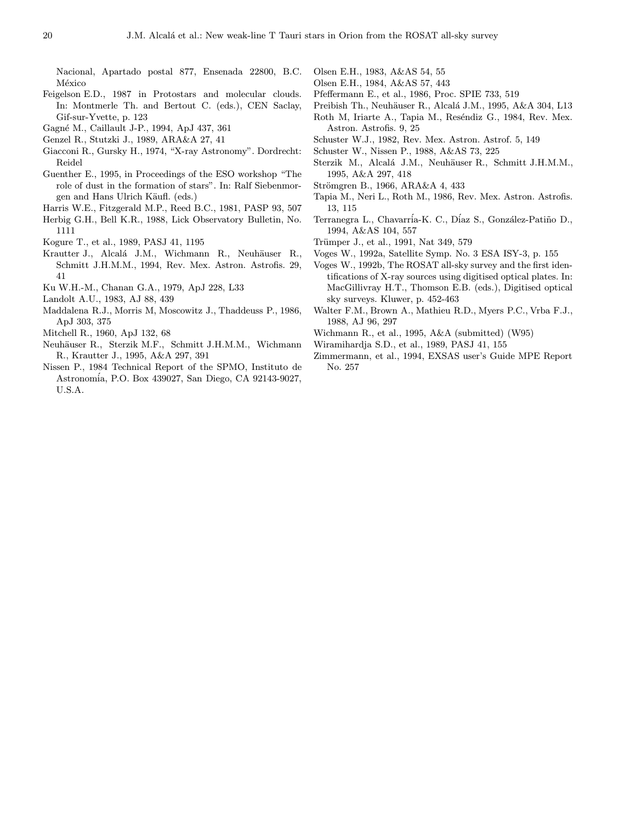Nacional, Apartado postal 877, Ensenada 22800, B.C. México

- Feigelson E.D., 1987 in Protostars and molecular clouds. In: Montmerle Th. and Bertout C. (eds.), CEN Saclay, Gif-sur-Yvette, p. 123
- Gagn´e M., Caillault J-P., 1994, ApJ 437, 361
- Genzel R., Stutzki J., 1989, ARA&A 27, 41
- Giacconi R., Gursky H., 1974, "X-ray Astronomy". Dordrecht: Reidel
- Guenther E., 1995, in Proceedings of the ESO workshop "The role of dust in the formation of stars". In: Ralf Siebenmorgen and Hans Ulrich Käufl. (eds.)
- Harris W.E., Fitzgerald M.P., Reed B.C., 1981, PASP 93, 507
- Herbig G.H., Bell K.R., 1988, Lick Observatory Bulletin, No. 1111
- Kogure T., et al., 1989, PASJ 41, 1195
- Krautter J., Alcalá J.M., Wichmann R., Neuhäuser R., Schmitt J.H.M.M., 1994, Rev. Mex. Astron. Astrofis. 29, 41
- Ku W.H.-M., Chanan G.A., 1979, ApJ 228, L33
- Landolt A.U., 1983, AJ 88, 439
- Maddalena R.J., Morris M, Moscowitz J., Thaddeuss P., 1986, ApJ 303, 375
- Mitchell R., 1960, ApJ 132, 68
- Neuhäuser R., Sterzik M.F., Schmitt J.H.M.M., Wichmann R., Krautter J., 1995, A&A 297, 391
- Nissen P., 1984 Technical Report of the SPMO, Instituto de Astronom´ia, P.O. Box 439027, San Diego, CA 92143-9027, U.S.A.
- Olsen E.H., 1983, A&AS 54, 55
- Olsen E.H., 1984, A&AS 57, 443
- Pfeffermann E., et al., 1986, Proc. SPIE 733, 519
- Preibish Th., Neuhäuser R., Alcalá J.M., 1995, A&A 304, L13
- Roth M, Iriarte A., Tapia M., Reséndiz G., 1984, Rev. Mex. Astron. Astrofis. 9, 25
- Schuster W.J., 1982, Rev. Mex. Astron. Astrof. 5, 149
- Schuster W., Nissen P., 1988, A&AS 73, 225
- Sterzik M., Alcalá J.M., Neuhäuser R., Schmitt J.H.M.M., 1995, A&A 297, 418
- Strömgren B., 1966, ARA&A 4, 433
- Tapia M., Neri L., Roth M., 1986, Rev. Mex. Astron. Astrofis. 13, 115
- Terranegra L., Chavarría-K. C., Díaz S., González-Patiño D., 1994, A&AS 104, 557
- Trümper J., et al., 1991, Nat 349, 579
- Voges W., 1992a, Satellite Symp. No. 3 ESA ISY-3, p. 155
- Voges W., 1992b, The ROSAT all-sky survey and the first identifications of X-ray sources using digitised optical plates. In: MacGillivray H.T., Thomson E.B. (eds.), Digitised optical sky surveys. Kluwer, p. 452-463
- Walter F.M., Brown A., Mathieu R.D., Myers P.C., Vrba F.J., 1988, AJ 96, 297
- Wichmann R., et al., 1995, A&A (submitted) (W95)
- Wiramihardja S.D., et al., 1989, PASJ 41, 155
- Zimmermann, et al., 1994, EXSAS user's Guide MPE Report No. 257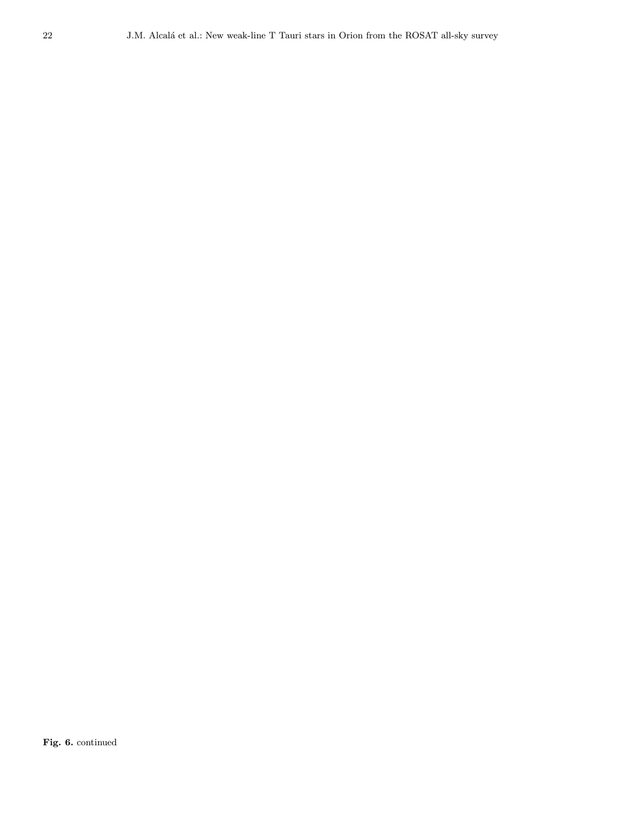Fig. 6. continued